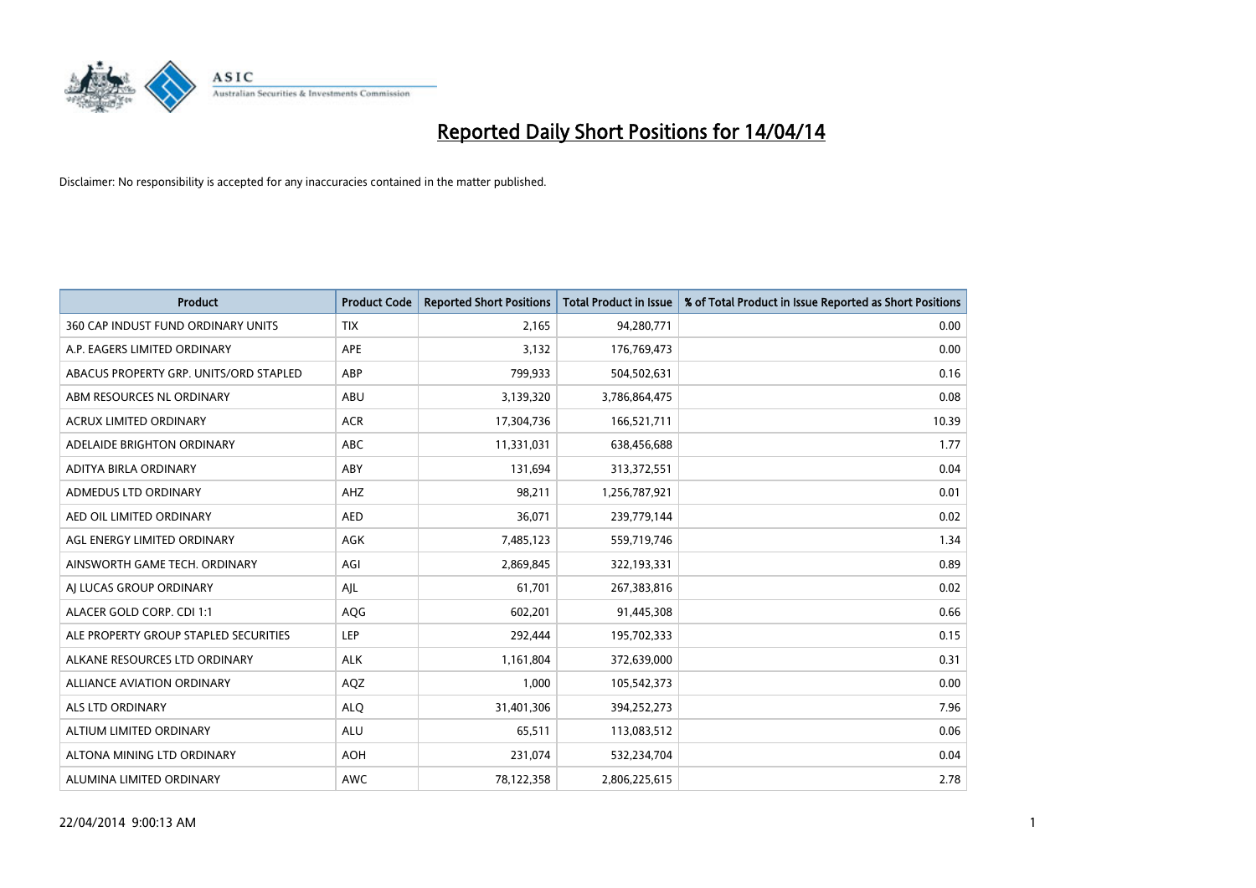

| <b>Product</b>                         | <b>Product Code</b> | <b>Reported Short Positions</b> | <b>Total Product in Issue</b> | % of Total Product in Issue Reported as Short Positions |
|----------------------------------------|---------------------|---------------------------------|-------------------------------|---------------------------------------------------------|
| 360 CAP INDUST FUND ORDINARY UNITS     | <b>TIX</b>          | 2.165                           | 94,280,771                    | 0.00                                                    |
| A.P. EAGERS LIMITED ORDINARY           | APE                 | 3,132                           | 176,769,473                   | 0.00                                                    |
| ABACUS PROPERTY GRP. UNITS/ORD STAPLED | ABP                 | 799,933                         | 504,502,631                   | 0.16                                                    |
| ABM RESOURCES NL ORDINARY              | ABU                 | 3,139,320                       | 3,786,864,475                 | 0.08                                                    |
| <b>ACRUX LIMITED ORDINARY</b>          | <b>ACR</b>          | 17,304,736                      | 166,521,711                   | 10.39                                                   |
| ADELAIDE BRIGHTON ORDINARY             | <b>ABC</b>          | 11,331,031                      | 638,456,688                   | 1.77                                                    |
| ADITYA BIRLA ORDINARY                  | ABY                 | 131,694                         | 313,372,551                   | 0.04                                                    |
| ADMEDUS LTD ORDINARY                   | AHZ                 | 98,211                          | 1,256,787,921                 | 0.01                                                    |
| AED OIL LIMITED ORDINARY               | <b>AED</b>          | 36,071                          | 239,779,144                   | 0.02                                                    |
| AGL ENERGY LIMITED ORDINARY            | <b>AGK</b>          | 7,485,123                       | 559,719,746                   | 1.34                                                    |
| AINSWORTH GAME TECH. ORDINARY          | AGI                 | 2,869,845                       | 322,193,331                   | 0.89                                                    |
| AI LUCAS GROUP ORDINARY                | AJL                 | 61,701                          | 267,383,816                   | 0.02                                                    |
| ALACER GOLD CORP. CDI 1:1              | AQG                 | 602,201                         | 91,445,308                    | 0.66                                                    |
| ALE PROPERTY GROUP STAPLED SECURITIES  | LEP                 | 292,444                         | 195,702,333                   | 0.15                                                    |
| ALKANE RESOURCES LTD ORDINARY          | <b>ALK</b>          | 1,161,804                       | 372,639,000                   | 0.31                                                    |
| ALLIANCE AVIATION ORDINARY             | AQZ                 | 1,000                           | 105,542,373                   | 0.00                                                    |
| ALS LTD ORDINARY                       | <b>ALQ</b>          | 31,401,306                      | 394,252,273                   | 7.96                                                    |
| ALTIUM LIMITED ORDINARY                | ALU                 | 65,511                          | 113,083,512                   | 0.06                                                    |
| ALTONA MINING LTD ORDINARY             | <b>AOH</b>          | 231,074                         | 532,234,704                   | 0.04                                                    |
| ALUMINA LIMITED ORDINARY               | AWC                 | 78,122,358                      | 2,806,225,615                 | 2.78                                                    |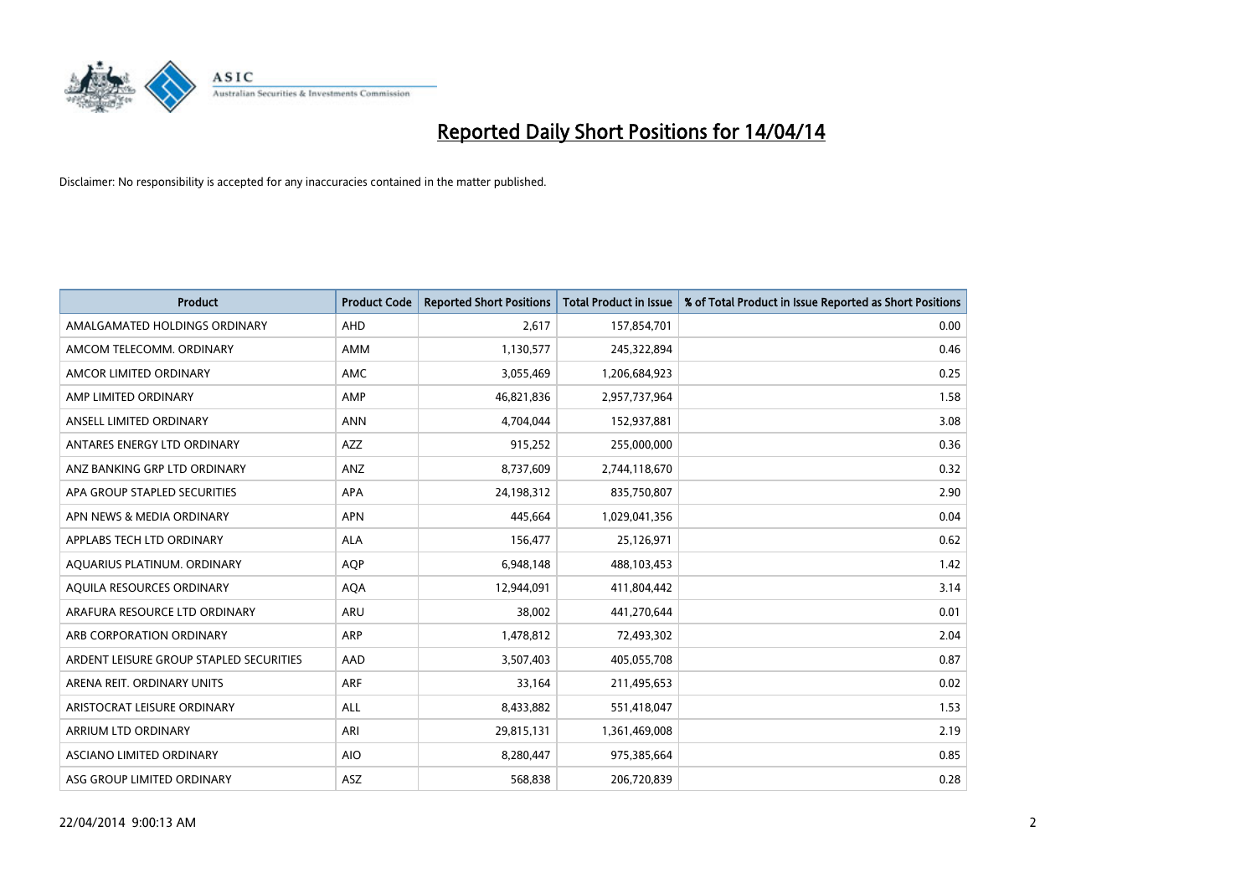

| <b>Product</b>                          | <b>Product Code</b> | <b>Reported Short Positions</b> | <b>Total Product in Issue</b> | % of Total Product in Issue Reported as Short Positions |
|-----------------------------------------|---------------------|---------------------------------|-------------------------------|---------------------------------------------------------|
| AMALGAMATED HOLDINGS ORDINARY           | AHD                 | 2,617                           | 157,854,701                   | 0.00                                                    |
| AMCOM TELECOMM. ORDINARY                | AMM                 | 1,130,577                       | 245,322,894                   | 0.46                                                    |
| AMCOR LIMITED ORDINARY                  | AMC                 | 3,055,469                       | 1,206,684,923                 | 0.25                                                    |
| AMP LIMITED ORDINARY                    | AMP                 | 46,821,836                      | 2,957,737,964                 | 1.58                                                    |
| ANSELL LIMITED ORDINARY                 | <b>ANN</b>          | 4,704,044                       | 152,937,881                   | 3.08                                                    |
| ANTARES ENERGY LTD ORDINARY             | AZZ                 | 915,252                         | 255,000,000                   | 0.36                                                    |
| ANZ BANKING GRP LTD ORDINARY            | ANZ                 | 8,737,609                       | 2,744,118,670                 | 0.32                                                    |
| APA GROUP STAPLED SECURITIES            | APA                 | 24,198,312                      | 835,750,807                   | 2.90                                                    |
| APN NEWS & MEDIA ORDINARY               | <b>APN</b>          | 445,664                         | 1,029,041,356                 | 0.04                                                    |
| APPLABS TECH LTD ORDINARY               | <b>ALA</b>          | 156,477                         | 25,126,971                    | 0.62                                                    |
| AQUARIUS PLATINUM. ORDINARY             | <b>AOP</b>          | 6,948,148                       | 488,103,453                   | 1.42                                                    |
| AQUILA RESOURCES ORDINARY               | <b>AQA</b>          | 12,944,091                      | 411,804,442                   | 3.14                                                    |
| ARAFURA RESOURCE LTD ORDINARY           | <b>ARU</b>          | 38,002                          | 441,270,644                   | 0.01                                                    |
| ARB CORPORATION ORDINARY                | ARP                 | 1,478,812                       | 72,493,302                    | 2.04                                                    |
| ARDENT LEISURE GROUP STAPLED SECURITIES | AAD                 | 3,507,403                       | 405,055,708                   | 0.87                                                    |
| ARENA REIT. ORDINARY UNITS              | <b>ARF</b>          | 33,164                          | 211,495,653                   | 0.02                                                    |
| ARISTOCRAT LEISURE ORDINARY             | ALL                 | 8,433,882                       | 551,418,047                   | 1.53                                                    |
| ARRIUM LTD ORDINARY                     | ARI                 | 29,815,131                      | 1,361,469,008                 | 2.19                                                    |
| ASCIANO LIMITED ORDINARY                | <b>AIO</b>          | 8,280,447                       | 975,385,664                   | 0.85                                                    |
| ASG GROUP LIMITED ORDINARY              | ASZ                 | 568,838                         | 206,720,839                   | 0.28                                                    |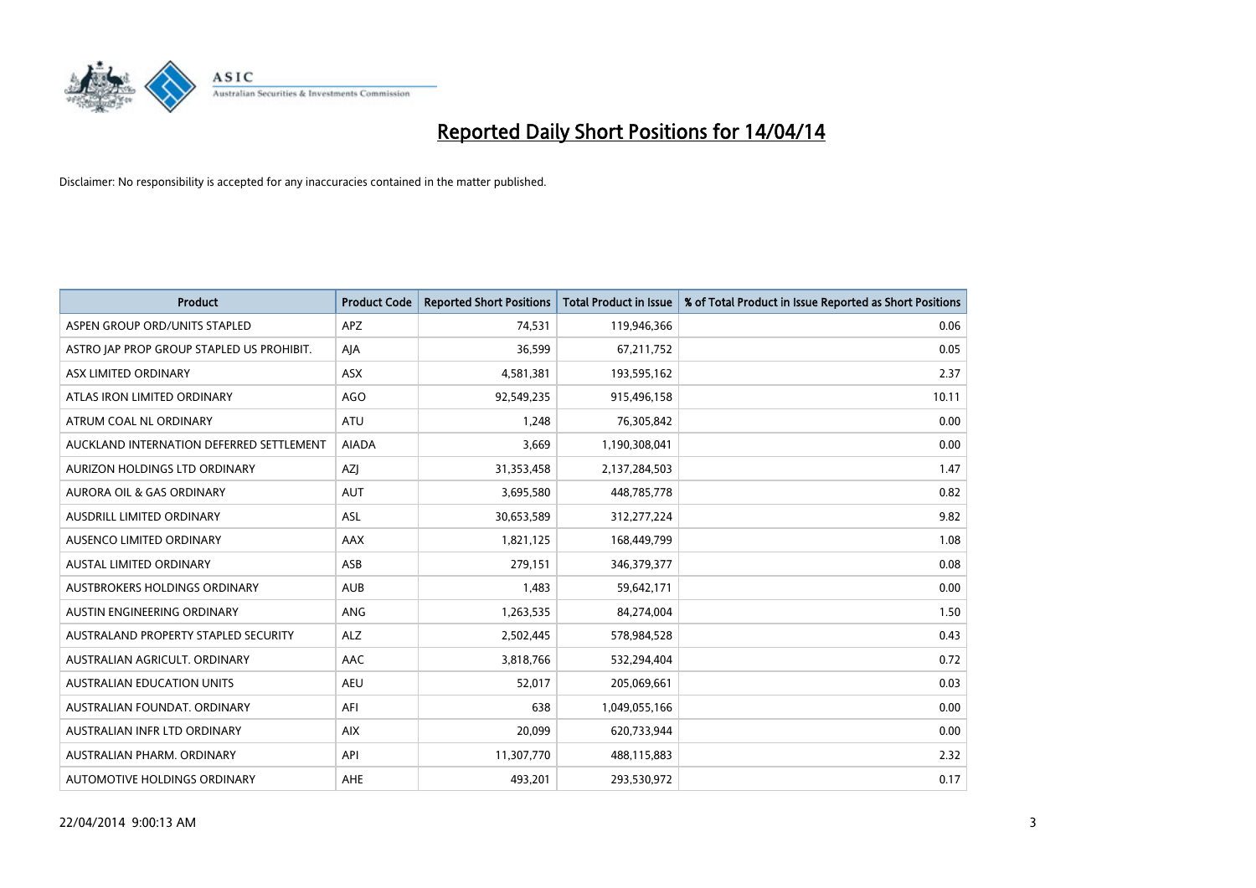

| <b>Product</b>                            | <b>Product Code</b> | <b>Reported Short Positions</b> | <b>Total Product in Issue</b> | % of Total Product in Issue Reported as Short Positions |
|-------------------------------------------|---------------------|---------------------------------|-------------------------------|---------------------------------------------------------|
| ASPEN GROUP ORD/UNITS STAPLED             | <b>APZ</b>          | 74,531                          | 119,946,366                   | 0.06                                                    |
| ASTRO JAP PROP GROUP STAPLED US PROHIBIT. | AJA                 | 36,599                          | 67,211,752                    | 0.05                                                    |
| ASX LIMITED ORDINARY                      | ASX                 | 4,581,381                       | 193,595,162                   | 2.37                                                    |
| ATLAS IRON LIMITED ORDINARY               | AGO                 | 92,549,235                      | 915,496,158                   | 10.11                                                   |
| ATRUM COAL NL ORDINARY                    | ATU                 | 1,248                           | 76,305,842                    | 0.00                                                    |
| AUCKLAND INTERNATION DEFERRED SETTLEMENT  | <b>AIADA</b>        | 3,669                           | 1,190,308,041                 | 0.00                                                    |
| AURIZON HOLDINGS LTD ORDINARY             | AZJ                 | 31,353,458                      | 2,137,284,503                 | 1.47                                                    |
| AURORA OIL & GAS ORDINARY                 | <b>AUT</b>          | 3,695,580                       | 448,785,778                   | 0.82                                                    |
| AUSDRILL LIMITED ORDINARY                 | ASL                 | 30,653,589                      | 312,277,224                   | 9.82                                                    |
| AUSENCO LIMITED ORDINARY                  | AAX                 | 1,821,125                       | 168,449,799                   | 1.08                                                    |
| AUSTAL LIMITED ORDINARY                   | ASB                 | 279,151                         | 346,379,377                   | 0.08                                                    |
| AUSTBROKERS HOLDINGS ORDINARY             | <b>AUB</b>          | 1,483                           | 59,642,171                    | 0.00                                                    |
| AUSTIN ENGINEERING ORDINARY               | ANG                 | 1,263,535                       | 84,274,004                    | 1.50                                                    |
| AUSTRALAND PROPERTY STAPLED SECURITY      | <b>ALZ</b>          | 2,502,445                       | 578,984,528                   | 0.43                                                    |
| AUSTRALIAN AGRICULT. ORDINARY             | AAC                 | 3,818,766                       | 532,294,404                   | 0.72                                                    |
| AUSTRALIAN EDUCATION UNITS                | <b>AEU</b>          | 52,017                          | 205,069,661                   | 0.03                                                    |
| AUSTRALIAN FOUNDAT. ORDINARY              | AFI                 | 638                             | 1,049,055,166                 | 0.00                                                    |
| AUSTRALIAN INFR LTD ORDINARY              | <b>AIX</b>          | 20,099                          | 620,733,944                   | 0.00                                                    |
| AUSTRALIAN PHARM, ORDINARY                | API                 | 11,307,770                      | 488,115,883                   | 2.32                                                    |
| AUTOMOTIVE HOLDINGS ORDINARY              | AHE                 | 493,201                         | 293,530,972                   | 0.17                                                    |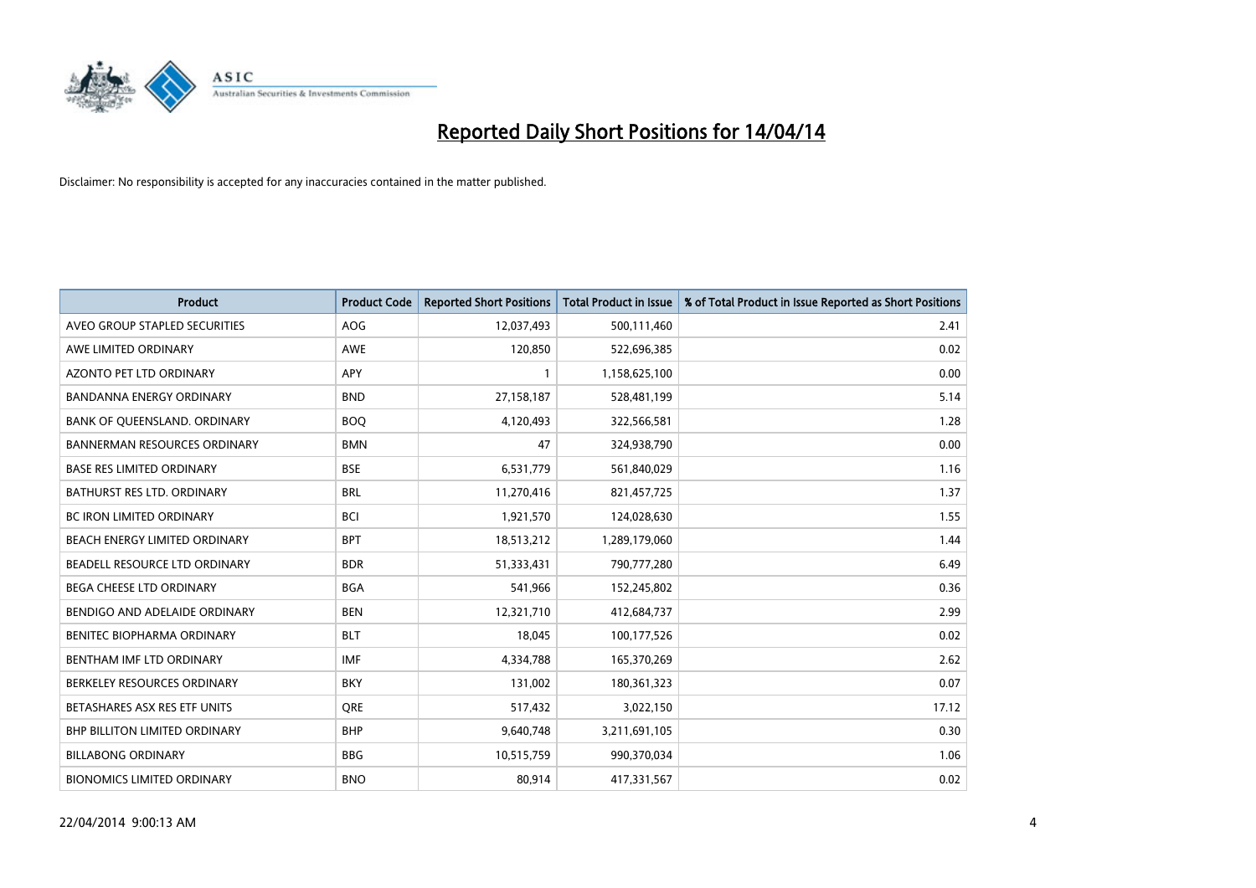

| <b>Product</b>                      | <b>Product Code</b> | <b>Reported Short Positions</b> | <b>Total Product in Issue</b> | % of Total Product in Issue Reported as Short Positions |
|-------------------------------------|---------------------|---------------------------------|-------------------------------|---------------------------------------------------------|
| AVEO GROUP STAPLED SECURITIES       | <b>AOG</b>          | 12,037,493                      | 500,111,460                   | 2.41                                                    |
| AWE LIMITED ORDINARY                | AWE                 | 120,850                         | 522,696,385                   | 0.02                                                    |
| AZONTO PET LTD ORDINARY             | APY                 | $\mathbf{1}$                    | 1,158,625,100                 | 0.00                                                    |
| BANDANNA ENERGY ORDINARY            | <b>BND</b>          | 27,158,187                      | 528,481,199                   | 5.14                                                    |
| BANK OF QUEENSLAND. ORDINARY        | <b>BOQ</b>          | 4,120,493                       | 322,566,581                   | 1.28                                                    |
| <b>BANNERMAN RESOURCES ORDINARY</b> | <b>BMN</b>          | 47                              | 324,938,790                   | 0.00                                                    |
| <b>BASE RES LIMITED ORDINARY</b>    | <b>BSE</b>          | 6,531,779                       | 561,840,029                   | 1.16                                                    |
| <b>BATHURST RES LTD. ORDINARY</b>   | <b>BRL</b>          | 11,270,416                      | 821,457,725                   | 1.37                                                    |
| BC IRON LIMITED ORDINARY            | <b>BCI</b>          | 1,921,570                       | 124,028,630                   | 1.55                                                    |
| BEACH ENERGY LIMITED ORDINARY       | <b>BPT</b>          | 18,513,212                      | 1,289,179,060                 | 1.44                                                    |
| BEADELL RESOURCE LTD ORDINARY       | <b>BDR</b>          | 51,333,431                      | 790,777,280                   | 6.49                                                    |
| BEGA CHEESE LTD ORDINARY            | <b>BGA</b>          | 541,966                         | 152,245,802                   | 0.36                                                    |
| BENDIGO AND ADELAIDE ORDINARY       | <b>BEN</b>          | 12,321,710                      | 412,684,737                   | 2.99                                                    |
| BENITEC BIOPHARMA ORDINARY          | <b>BLT</b>          | 18,045                          | 100,177,526                   | 0.02                                                    |
| BENTHAM IMF LTD ORDINARY            | <b>IMF</b>          | 4,334,788                       | 165,370,269                   | 2.62                                                    |
| BERKELEY RESOURCES ORDINARY         | <b>BKY</b>          | 131,002                         | 180,361,323                   | 0.07                                                    |
| BETASHARES ASX RES ETF UNITS        | <b>ORE</b>          | 517,432                         | 3,022,150                     | 17.12                                                   |
| BHP BILLITON LIMITED ORDINARY       | <b>BHP</b>          | 9,640,748                       | 3,211,691,105                 | 0.30                                                    |
| <b>BILLABONG ORDINARY</b>           | <b>BBG</b>          | 10,515,759                      | 990,370,034                   | 1.06                                                    |
| <b>BIONOMICS LIMITED ORDINARY</b>   | <b>BNO</b>          | 80,914                          | 417,331,567                   | 0.02                                                    |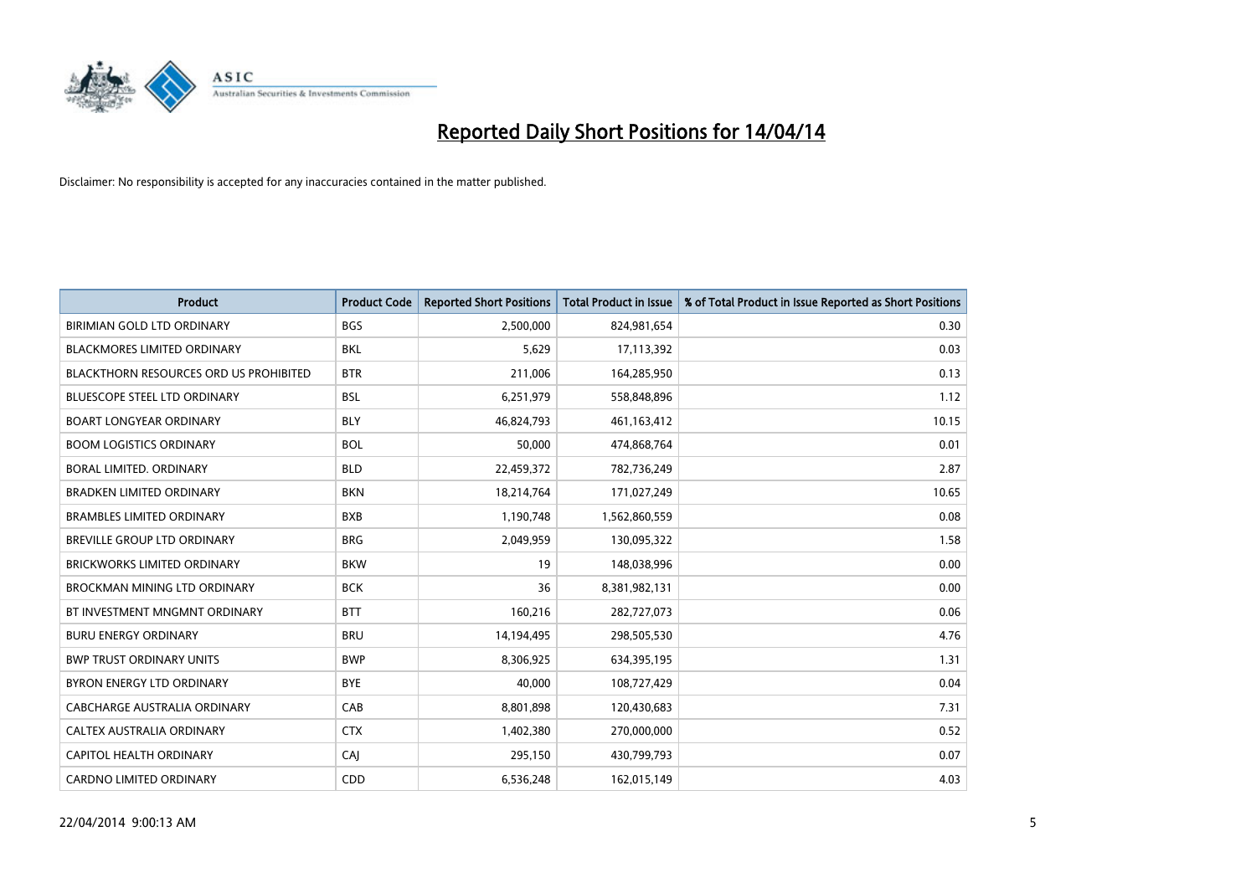

| <b>Product</b>                                | <b>Product Code</b> | <b>Reported Short Positions</b> | <b>Total Product in Issue</b> | % of Total Product in Issue Reported as Short Positions |
|-----------------------------------------------|---------------------|---------------------------------|-------------------------------|---------------------------------------------------------|
| BIRIMIAN GOLD LTD ORDINARY                    | <b>BGS</b>          | 2,500,000                       | 824,981,654                   | 0.30                                                    |
| <b>BLACKMORES LIMITED ORDINARY</b>            | BKL                 | 5,629                           | 17,113,392                    | 0.03                                                    |
| <b>BLACKTHORN RESOURCES ORD US PROHIBITED</b> | <b>BTR</b>          | 211,006                         | 164,285,950                   | 0.13                                                    |
| BLUESCOPE STEEL LTD ORDINARY                  | <b>BSL</b>          | 6,251,979                       | 558,848,896                   | 1.12                                                    |
| <b>BOART LONGYEAR ORDINARY</b>                | <b>BLY</b>          | 46,824,793                      | 461,163,412                   | 10.15                                                   |
| <b>BOOM LOGISTICS ORDINARY</b>                | <b>BOL</b>          | 50,000                          | 474,868,764                   | 0.01                                                    |
| BORAL LIMITED, ORDINARY                       | <b>BLD</b>          | 22,459,372                      | 782,736,249                   | 2.87                                                    |
| <b>BRADKEN LIMITED ORDINARY</b>               | <b>BKN</b>          | 18,214,764                      | 171,027,249                   | 10.65                                                   |
| <b>BRAMBLES LIMITED ORDINARY</b>              | <b>BXB</b>          | 1,190,748                       | 1,562,860,559                 | 0.08                                                    |
| <b>BREVILLE GROUP LTD ORDINARY</b>            | <b>BRG</b>          | 2,049,959                       | 130,095,322                   | 1.58                                                    |
| <b>BRICKWORKS LIMITED ORDINARY</b>            | <b>BKW</b>          | 19                              | 148,038,996                   | 0.00                                                    |
| <b>BROCKMAN MINING LTD ORDINARY</b>           | <b>BCK</b>          | 36                              | 8,381,982,131                 | 0.00                                                    |
| BT INVESTMENT MNGMNT ORDINARY                 | <b>BTT</b>          | 160,216                         | 282,727,073                   | 0.06                                                    |
| <b>BURU ENERGY ORDINARY</b>                   | <b>BRU</b>          | 14,194,495                      | 298,505,530                   | 4.76                                                    |
| <b>BWP TRUST ORDINARY UNITS</b>               | <b>BWP</b>          | 8,306,925                       | 634,395,195                   | 1.31                                                    |
| BYRON ENERGY LTD ORDINARY                     | <b>BYE</b>          | 40,000                          | 108,727,429                   | 0.04                                                    |
| CABCHARGE AUSTRALIA ORDINARY                  | CAB                 | 8,801,898                       | 120,430,683                   | 7.31                                                    |
| <b>CALTEX AUSTRALIA ORDINARY</b>              | <b>CTX</b>          | 1,402,380                       | 270,000,000                   | 0.52                                                    |
| <b>CAPITOL HEALTH ORDINARY</b>                | CAI                 | 295,150                         | 430,799,793                   | 0.07                                                    |
| <b>CARDNO LIMITED ORDINARY</b>                | CDD                 | 6,536,248                       | 162,015,149                   | 4.03                                                    |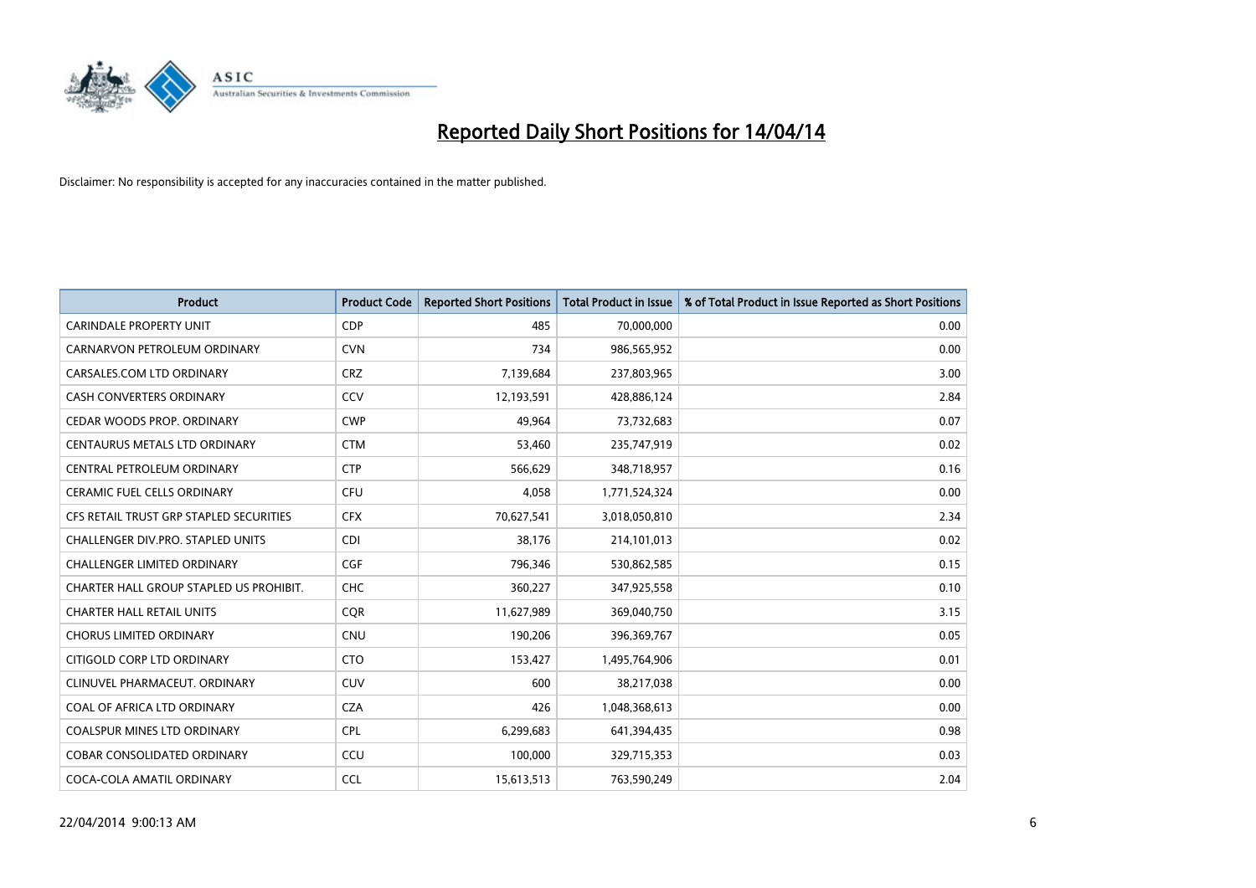

| <b>Product</b>                          | <b>Product Code</b> | <b>Reported Short Positions</b> | <b>Total Product in Issue</b> | % of Total Product in Issue Reported as Short Positions |
|-----------------------------------------|---------------------|---------------------------------|-------------------------------|---------------------------------------------------------|
| <b>CARINDALE PROPERTY UNIT</b>          | <b>CDP</b>          | 485                             | 70,000,000                    | 0.00                                                    |
| CARNARVON PETROLEUM ORDINARY            | <b>CVN</b>          | 734                             | 986,565,952                   | 0.00                                                    |
| CARSALES.COM LTD ORDINARY               | <b>CRZ</b>          | 7,139,684                       | 237,803,965                   | 3.00                                                    |
| CASH CONVERTERS ORDINARY                | CCV                 | 12,193,591                      | 428,886,124                   | 2.84                                                    |
| CEDAR WOODS PROP. ORDINARY              | <b>CWP</b>          | 49,964                          | 73,732,683                    | 0.07                                                    |
| CENTAURUS METALS LTD ORDINARY           | <b>CTM</b>          | 53,460                          | 235,747,919                   | 0.02                                                    |
| CENTRAL PETROLEUM ORDINARY              | <b>CTP</b>          | 566,629                         | 348,718,957                   | 0.16                                                    |
| CERAMIC FUEL CELLS ORDINARY             | <b>CFU</b>          | 4,058                           | 1,771,524,324                 | 0.00                                                    |
| CFS RETAIL TRUST GRP STAPLED SECURITIES | <b>CFX</b>          | 70,627,541                      | 3,018,050,810                 | 2.34                                                    |
| CHALLENGER DIV.PRO. STAPLED UNITS       | <b>CDI</b>          | 38,176                          | 214,101,013                   | 0.02                                                    |
| CHALLENGER LIMITED ORDINARY             | <b>CGF</b>          | 796,346                         | 530,862,585                   | 0.15                                                    |
| CHARTER HALL GROUP STAPLED US PROHIBIT. | <b>CHC</b>          | 360,227                         | 347,925,558                   | 0.10                                                    |
| <b>CHARTER HALL RETAIL UNITS</b>        | <b>COR</b>          | 11,627,989                      | 369,040,750                   | 3.15                                                    |
| <b>CHORUS LIMITED ORDINARY</b>          | <b>CNU</b>          | 190,206                         | 396,369,767                   | 0.05                                                    |
| CITIGOLD CORP LTD ORDINARY              | <b>CTO</b>          | 153,427                         | 1,495,764,906                 | 0.01                                                    |
| CLINUVEL PHARMACEUT. ORDINARY           | <b>CUV</b>          | 600                             | 38,217,038                    | 0.00                                                    |
| COAL OF AFRICA LTD ORDINARY             | <b>CZA</b>          | 426                             | 1,048,368,613                 | 0.00                                                    |
| COALSPUR MINES LTD ORDINARY             | <b>CPL</b>          | 6,299,683                       | 641,394,435                   | 0.98                                                    |
| <b>COBAR CONSOLIDATED ORDINARY</b>      | CCU                 | 100,000                         | 329,715,353                   | 0.03                                                    |
| COCA-COLA AMATIL ORDINARY               | <b>CCL</b>          | 15,613,513                      | 763,590,249                   | 2.04                                                    |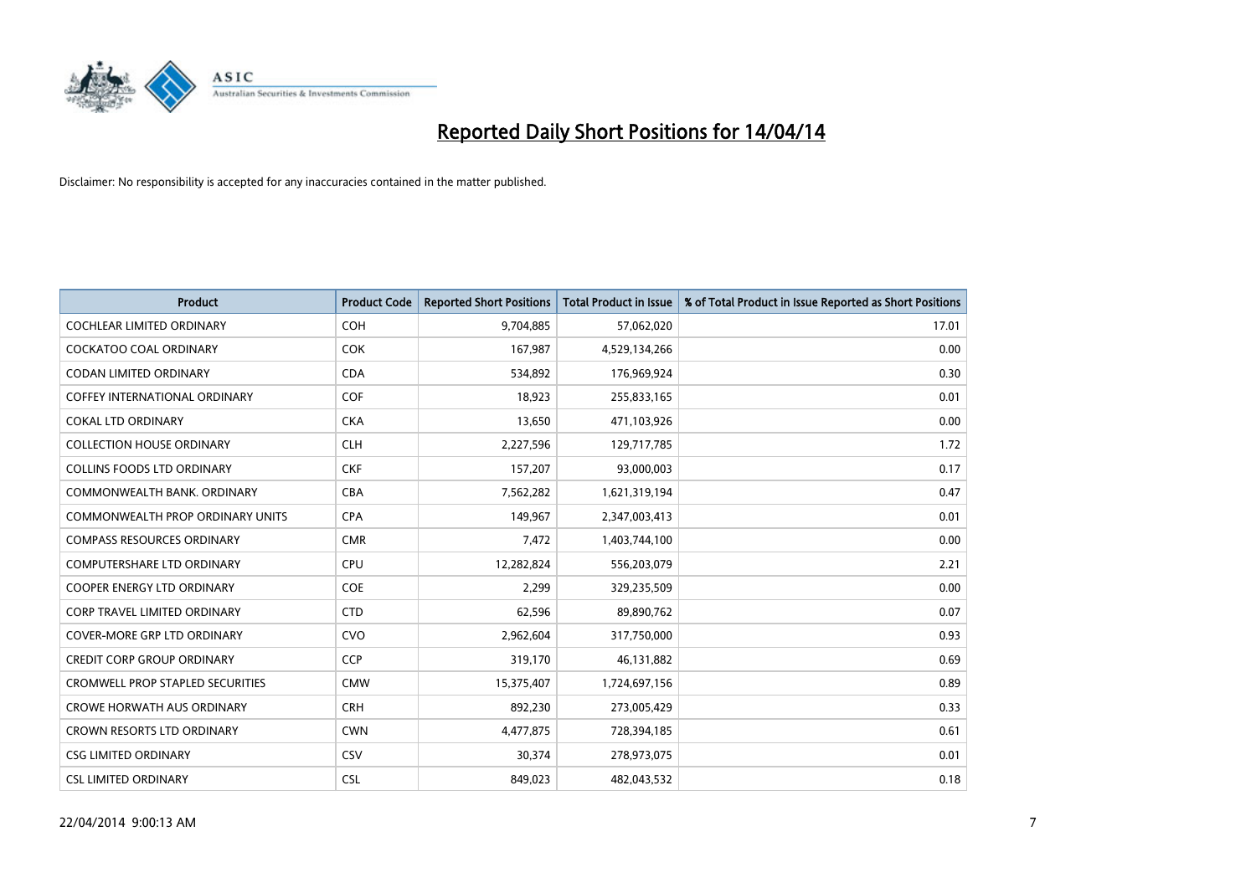

| <b>Product</b>                          | <b>Product Code</b> | <b>Reported Short Positions</b> | <b>Total Product in Issue</b> | % of Total Product in Issue Reported as Short Positions |
|-----------------------------------------|---------------------|---------------------------------|-------------------------------|---------------------------------------------------------|
| <b>COCHLEAR LIMITED ORDINARY</b>        | <b>COH</b>          | 9,704,885                       | 57,062,020                    | 17.01                                                   |
| COCKATOO COAL ORDINARY                  | <b>COK</b>          | 167,987                         | 4,529,134,266                 | 0.00                                                    |
| <b>CODAN LIMITED ORDINARY</b>           | <b>CDA</b>          | 534,892                         | 176,969,924                   | 0.30                                                    |
| <b>COFFEY INTERNATIONAL ORDINARY</b>    | <b>COF</b>          | 18,923                          | 255,833,165                   | 0.01                                                    |
| <b>COKAL LTD ORDINARY</b>               | <b>CKA</b>          | 13,650                          | 471,103,926                   | 0.00                                                    |
| <b>COLLECTION HOUSE ORDINARY</b>        | <b>CLH</b>          | 2,227,596                       | 129,717,785                   | 1.72                                                    |
| <b>COLLINS FOODS LTD ORDINARY</b>       | <b>CKF</b>          | 157,207                         | 93,000,003                    | 0.17                                                    |
| COMMONWEALTH BANK, ORDINARY             | <b>CBA</b>          | 7,562,282                       | 1,621,319,194                 | 0.47                                                    |
| <b>COMMONWEALTH PROP ORDINARY UNITS</b> | <b>CPA</b>          | 149,967                         | 2,347,003,413                 | 0.01                                                    |
| <b>COMPASS RESOURCES ORDINARY</b>       | <b>CMR</b>          | 7,472                           | 1,403,744,100                 | 0.00                                                    |
| COMPUTERSHARE LTD ORDINARY              | <b>CPU</b>          | 12,282,824                      | 556,203,079                   | 2.21                                                    |
| <b>COOPER ENERGY LTD ORDINARY</b>       | <b>COE</b>          | 2,299                           | 329,235,509                   | 0.00                                                    |
| CORP TRAVEL LIMITED ORDINARY            | <b>CTD</b>          | 62,596                          | 89,890,762                    | 0.07                                                    |
| <b>COVER-MORE GRP LTD ORDINARY</b>      | <b>CVO</b>          | 2,962,604                       | 317,750,000                   | 0.93                                                    |
| <b>CREDIT CORP GROUP ORDINARY</b>       | <b>CCP</b>          | 319,170                         | 46,131,882                    | 0.69                                                    |
| CROMWELL PROP STAPLED SECURITIES        | <b>CMW</b>          | 15,375,407                      | 1,724,697,156                 | 0.89                                                    |
| <b>CROWE HORWATH AUS ORDINARY</b>       | <b>CRH</b>          | 892,230                         | 273,005,429                   | 0.33                                                    |
| CROWN RESORTS LTD ORDINARY              | <b>CWN</b>          | 4,477,875                       | 728,394,185                   | 0.61                                                    |
| <b>CSG LIMITED ORDINARY</b>             | <b>CSV</b>          | 30,374                          | 278,973,075                   | 0.01                                                    |
| <b>CSL LIMITED ORDINARY</b>             | <b>CSL</b>          | 849,023                         | 482,043,532                   | 0.18                                                    |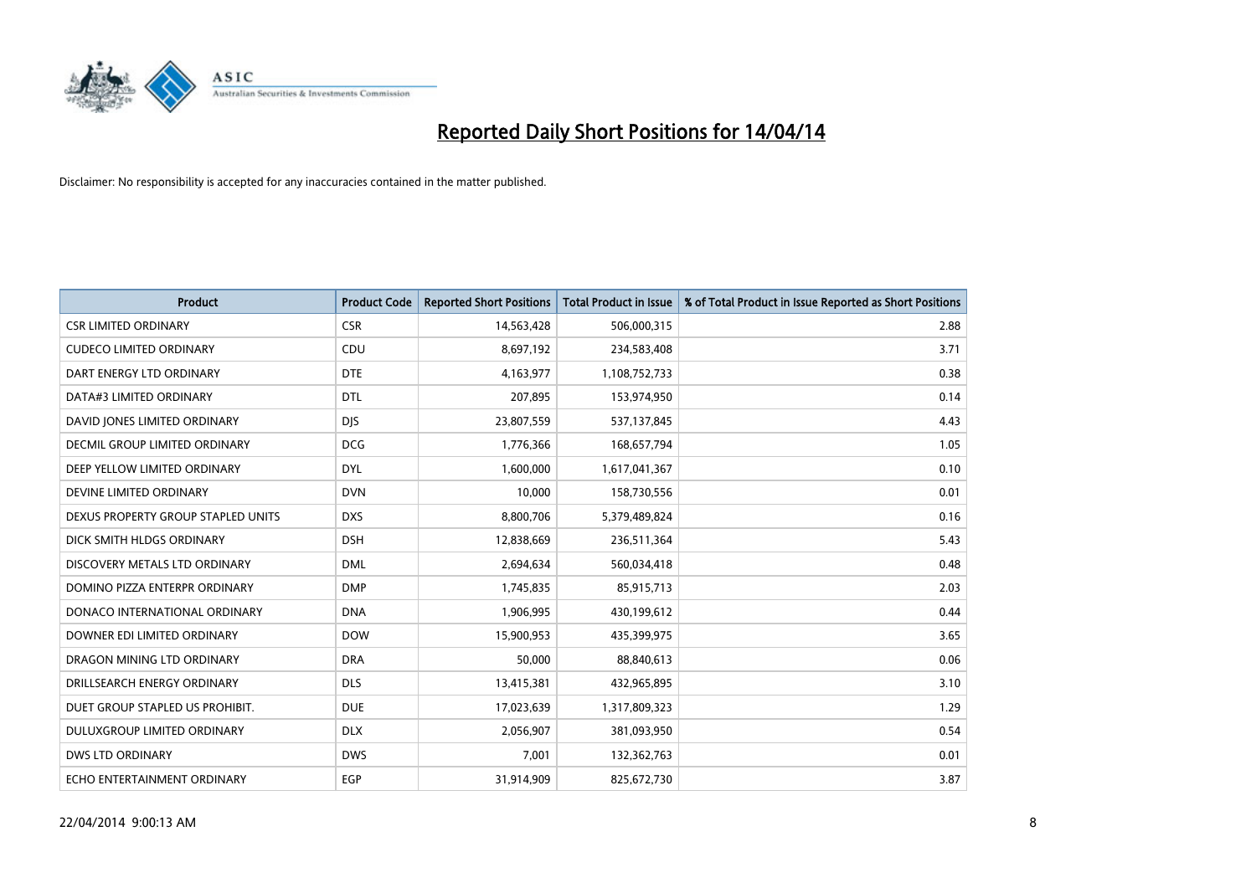

| <b>Product</b>                     | <b>Product Code</b> | <b>Reported Short Positions</b> | <b>Total Product in Issue</b> | % of Total Product in Issue Reported as Short Positions |
|------------------------------------|---------------------|---------------------------------|-------------------------------|---------------------------------------------------------|
| <b>CSR LIMITED ORDINARY</b>        | <b>CSR</b>          | 14,563,428                      | 506,000,315                   | 2.88                                                    |
| <b>CUDECO LIMITED ORDINARY</b>     | <b>CDU</b>          | 8,697,192                       | 234,583,408                   | 3.71                                                    |
| DART ENERGY LTD ORDINARY           | <b>DTE</b>          | 4,163,977                       | 1,108,752,733                 | 0.38                                                    |
| DATA#3 LIMITED ORDINARY            | <b>DTL</b>          | 207,895                         | 153,974,950                   | 0.14                                                    |
| DAVID JONES LIMITED ORDINARY       | <b>DJS</b>          | 23,807,559                      | 537,137,845                   | 4.43                                                    |
| DECMIL GROUP LIMITED ORDINARY      | <b>DCG</b>          | 1,776,366                       | 168,657,794                   | 1.05                                                    |
| DEEP YELLOW LIMITED ORDINARY       | <b>DYL</b>          | 1,600,000                       | 1,617,041,367                 | 0.10                                                    |
| DEVINE LIMITED ORDINARY            | <b>DVN</b>          | 10,000                          | 158,730,556                   | 0.01                                                    |
| DEXUS PROPERTY GROUP STAPLED UNITS | <b>DXS</b>          | 8,800,706                       | 5,379,489,824                 | 0.16                                                    |
| DICK SMITH HLDGS ORDINARY          | <b>DSH</b>          | 12,838,669                      | 236,511,364                   | 5.43                                                    |
| DISCOVERY METALS LTD ORDINARY      | <b>DML</b>          | 2,694,634                       | 560,034,418                   | 0.48                                                    |
| DOMINO PIZZA ENTERPR ORDINARY      | <b>DMP</b>          | 1,745,835                       | 85,915,713                    | 2.03                                                    |
| DONACO INTERNATIONAL ORDINARY      | <b>DNA</b>          | 1,906,995                       | 430,199,612                   | 0.44                                                    |
| DOWNER EDI LIMITED ORDINARY        | <b>DOW</b>          | 15,900,953                      | 435,399,975                   | 3.65                                                    |
| DRAGON MINING LTD ORDINARY         | <b>DRA</b>          | 50,000                          | 88,840,613                    | 0.06                                                    |
| DRILLSEARCH ENERGY ORDINARY        | <b>DLS</b>          | 13,415,381                      | 432,965,895                   | 3.10                                                    |
| DUET GROUP STAPLED US PROHIBIT.    | <b>DUE</b>          | 17,023,639                      | 1,317,809,323                 | 1.29                                                    |
| DULUXGROUP LIMITED ORDINARY        | <b>DLX</b>          | 2,056,907                       | 381,093,950                   | 0.54                                                    |
| <b>DWS LTD ORDINARY</b>            | <b>DWS</b>          | 7,001                           | 132,362,763                   | 0.01                                                    |
| ECHO ENTERTAINMENT ORDINARY        | EGP                 | 31,914,909                      | 825,672,730                   | 3.87                                                    |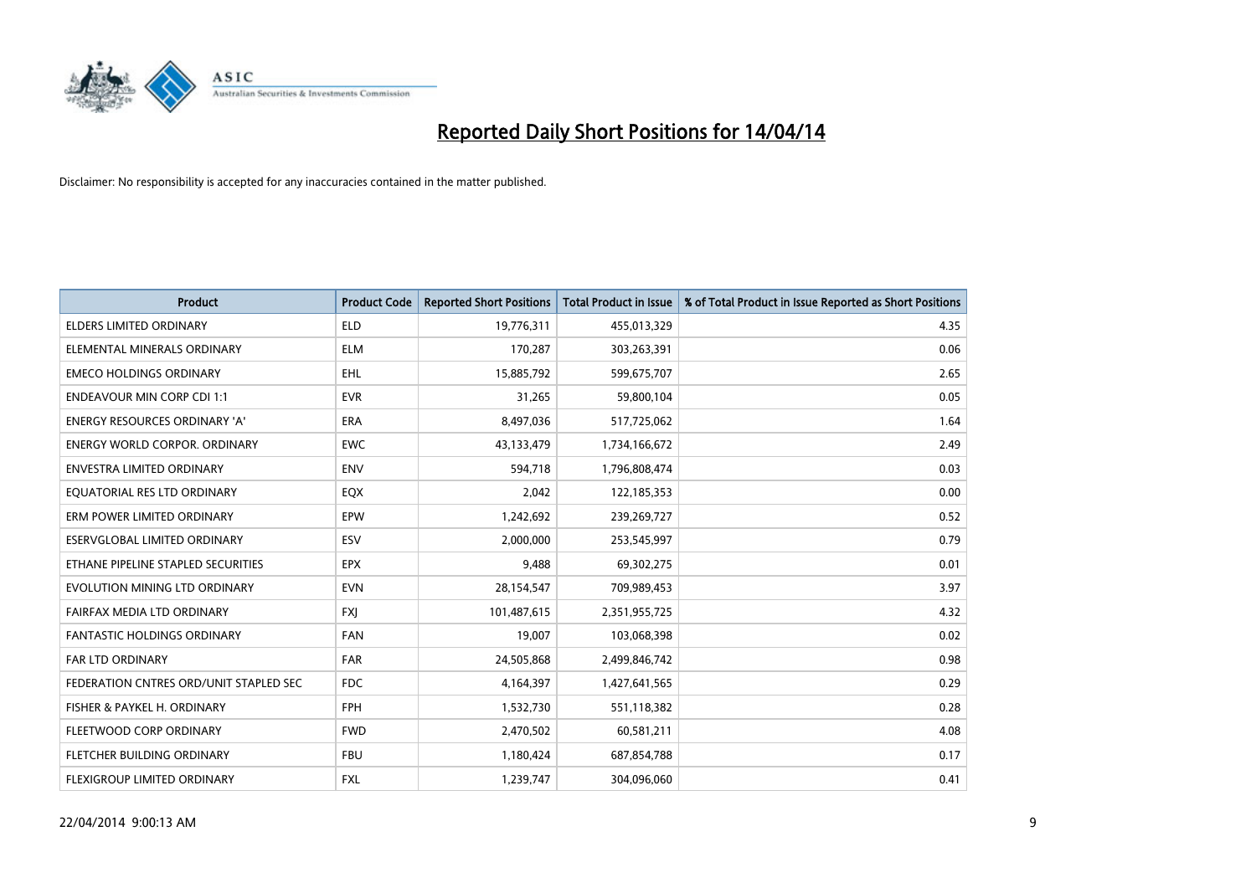

| <b>Product</b>                         | <b>Product Code</b> | <b>Reported Short Positions</b> | <b>Total Product in Issue</b> | % of Total Product in Issue Reported as Short Positions |
|----------------------------------------|---------------------|---------------------------------|-------------------------------|---------------------------------------------------------|
| <b>ELDERS LIMITED ORDINARY</b>         | <b>ELD</b>          | 19,776,311                      | 455,013,329                   | 4.35                                                    |
| ELEMENTAL MINERALS ORDINARY            | ELM                 | 170,287                         | 303,263,391                   | 0.06                                                    |
| <b>EMECO HOLDINGS ORDINARY</b>         | <b>EHL</b>          | 15,885,792                      | 599,675,707                   | 2.65                                                    |
| <b>ENDEAVOUR MIN CORP CDI 1:1</b>      | <b>EVR</b>          | 31,265                          | 59,800,104                    | 0.05                                                    |
| <b>ENERGY RESOURCES ORDINARY 'A'</b>   | ERA                 | 8,497,036                       | 517,725,062                   | 1.64                                                    |
| <b>ENERGY WORLD CORPOR, ORDINARY</b>   | <b>EWC</b>          | 43,133,479                      | 1,734,166,672                 | 2.49                                                    |
| ENVESTRA LIMITED ORDINARY              | <b>ENV</b>          | 594,718                         | 1,796,808,474                 | 0.03                                                    |
| EQUATORIAL RES LTD ORDINARY            | EQX                 | 2,042                           | 122,185,353                   | 0.00                                                    |
| ERM POWER LIMITED ORDINARY             | EPW                 | 1,242,692                       | 239,269,727                   | 0.52                                                    |
| ESERVGLOBAL LIMITED ORDINARY           | ESV                 | 2,000,000                       | 253,545,997                   | 0.79                                                    |
| ETHANE PIPELINE STAPLED SECURITIES     | <b>EPX</b>          | 9,488                           | 69,302,275                    | 0.01                                                    |
| EVOLUTION MINING LTD ORDINARY          | <b>EVN</b>          | 28,154,547                      | 709,989,453                   | 3.97                                                    |
| FAIRFAX MEDIA LTD ORDINARY             | <b>FXI</b>          | 101,487,615                     | 2,351,955,725                 | 4.32                                                    |
| <b>FANTASTIC HOLDINGS ORDINARY</b>     | <b>FAN</b>          | 19,007                          | 103,068,398                   | 0.02                                                    |
| <b>FAR LTD ORDINARY</b>                | <b>FAR</b>          | 24,505,868                      | 2,499,846,742                 | 0.98                                                    |
| FEDERATION CNTRES ORD/UNIT STAPLED SEC | <b>FDC</b>          | 4,164,397                       | 1,427,641,565                 | 0.29                                                    |
| FISHER & PAYKEL H. ORDINARY            | <b>FPH</b>          | 1,532,730                       | 551,118,382                   | 0.28                                                    |
| FLEETWOOD CORP ORDINARY                | <b>FWD</b>          | 2,470,502                       | 60,581,211                    | 4.08                                                    |
| FLETCHER BUILDING ORDINARY             | <b>FBU</b>          | 1,180,424                       | 687,854,788                   | 0.17                                                    |
| FLEXIGROUP LIMITED ORDINARY            | FXL                 | 1,239,747                       | 304,096,060                   | 0.41                                                    |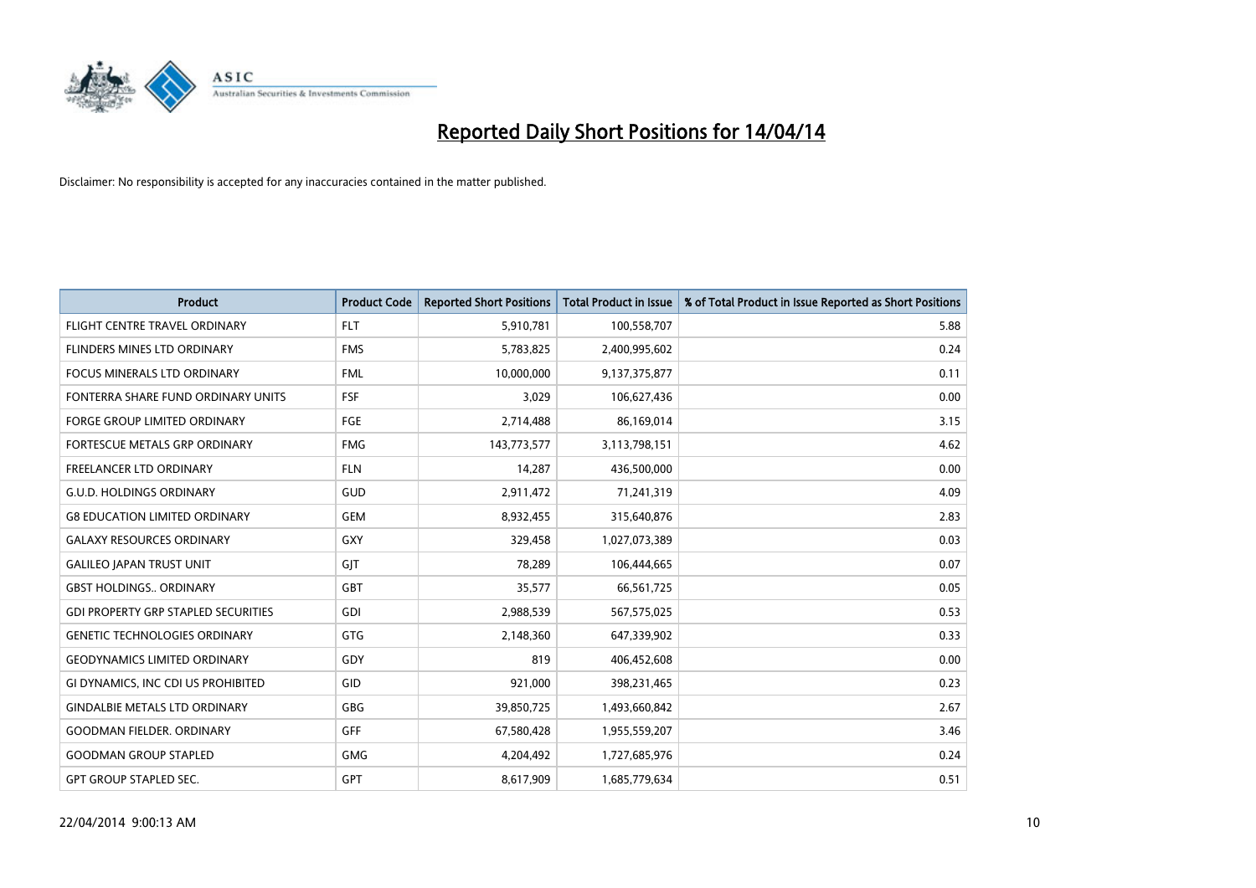

| <b>Product</b>                             | <b>Product Code</b> | <b>Reported Short Positions</b> | <b>Total Product in Issue</b> | % of Total Product in Issue Reported as Short Positions |
|--------------------------------------------|---------------------|---------------------------------|-------------------------------|---------------------------------------------------------|
| FLIGHT CENTRE TRAVEL ORDINARY              | <b>FLT</b>          | 5,910,781                       | 100,558,707                   | 5.88                                                    |
| FLINDERS MINES LTD ORDINARY                | <b>FMS</b>          | 5,783,825                       | 2,400,995,602                 | 0.24                                                    |
| FOCUS MINERALS LTD ORDINARY                | <b>FML</b>          | 10,000,000                      | 9,137,375,877                 | 0.11                                                    |
| FONTERRA SHARE FUND ORDINARY UNITS         | <b>FSF</b>          | 3,029                           | 106,627,436                   | 0.00                                                    |
| <b>FORGE GROUP LIMITED ORDINARY</b>        | FGE                 | 2,714,488                       | 86,169,014                    | 3.15                                                    |
| FORTESCUE METALS GRP ORDINARY              | <b>FMG</b>          | 143,773,577                     | 3,113,798,151                 | 4.62                                                    |
| FREELANCER LTD ORDINARY                    | <b>FLN</b>          | 14,287                          | 436,500,000                   | 0.00                                                    |
| <b>G.U.D. HOLDINGS ORDINARY</b>            | GUD                 | 2,911,472                       | 71,241,319                    | 4.09                                                    |
| <b>G8 EDUCATION LIMITED ORDINARY</b>       | <b>GEM</b>          | 8,932,455                       | 315,640,876                   | 2.83                                                    |
| <b>GALAXY RESOURCES ORDINARY</b>           | GXY                 | 329,458                         | 1,027,073,389                 | 0.03                                                    |
| <b>GALILEO JAPAN TRUST UNIT</b>            | GJT                 | 78,289                          | 106,444,665                   | 0.07                                                    |
| <b>GBST HOLDINGS ORDINARY</b>              | GBT                 | 35,577                          | 66,561,725                    | 0.05                                                    |
| <b>GDI PROPERTY GRP STAPLED SECURITIES</b> | GDI                 | 2,988,539                       | 567,575,025                   | 0.53                                                    |
| <b>GENETIC TECHNOLOGIES ORDINARY</b>       | GTG                 | 2,148,360                       | 647,339,902                   | 0.33                                                    |
| <b>GEODYNAMICS LIMITED ORDINARY</b>        | GDY                 | 819                             | 406,452,608                   | 0.00                                                    |
| GI DYNAMICS, INC CDI US PROHIBITED         | GID                 | 921,000                         | 398,231,465                   | 0.23                                                    |
| <b>GINDALBIE METALS LTD ORDINARY</b>       | GBG                 | 39,850,725                      | 1,493,660,842                 | 2.67                                                    |
| <b>GOODMAN FIELDER, ORDINARY</b>           | <b>GFF</b>          | 67,580,428                      | 1,955,559,207                 | 3.46                                                    |
| <b>GOODMAN GROUP STAPLED</b>               | <b>GMG</b>          | 4,204,492                       | 1,727,685,976                 | 0.24                                                    |
| <b>GPT GROUP STAPLED SEC.</b>              | <b>GPT</b>          | 8,617,909                       | 1,685,779,634                 | 0.51                                                    |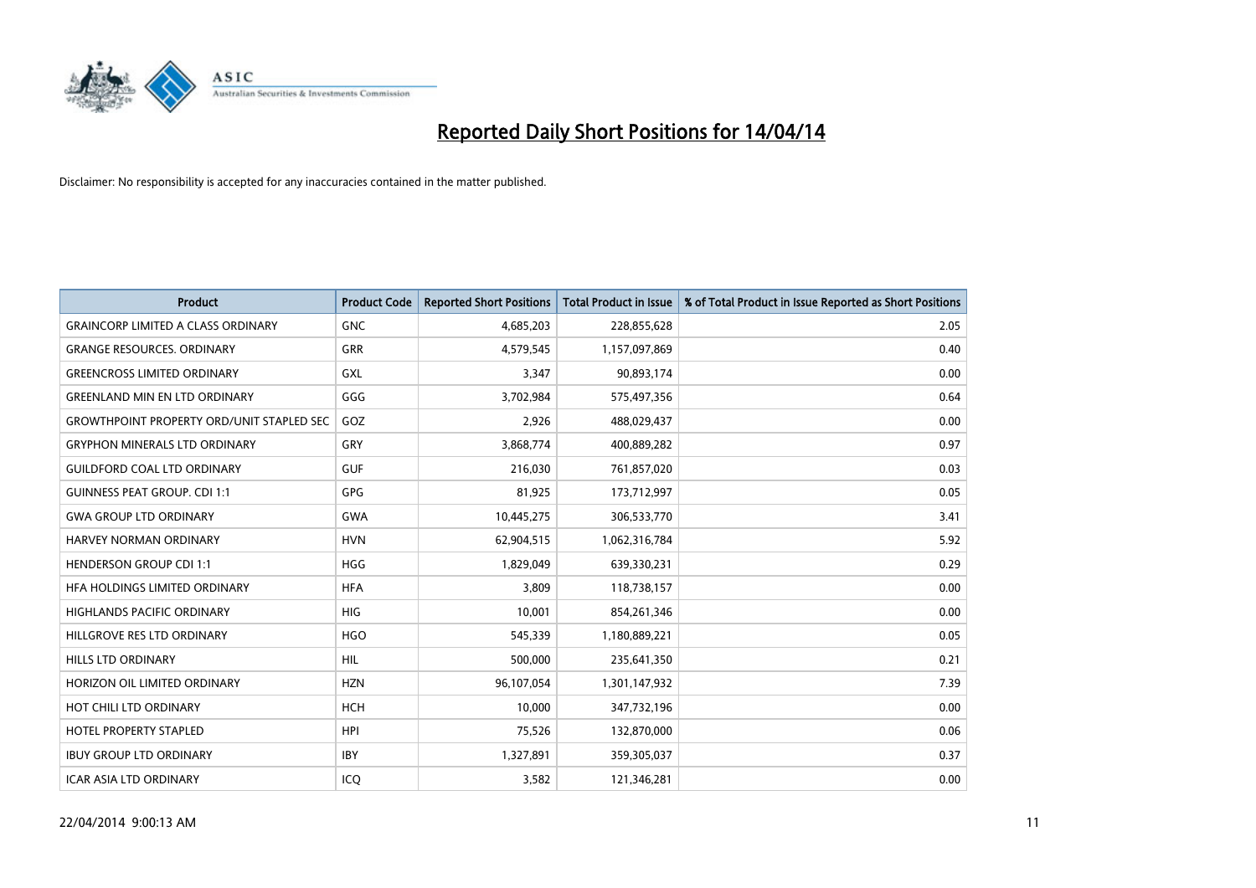

| Product                                          | <b>Product Code</b> | <b>Reported Short Positions</b> | <b>Total Product in Issue</b> | % of Total Product in Issue Reported as Short Positions |
|--------------------------------------------------|---------------------|---------------------------------|-------------------------------|---------------------------------------------------------|
| <b>GRAINCORP LIMITED A CLASS ORDINARY</b>        | <b>GNC</b>          | 4,685,203                       | 228,855,628                   | 2.05                                                    |
| <b>GRANGE RESOURCES. ORDINARY</b>                | GRR                 | 4,579,545                       | 1,157,097,869                 | 0.40                                                    |
| <b>GREENCROSS LIMITED ORDINARY</b>               | <b>GXL</b>          | 3,347                           | 90,893,174                    | 0.00                                                    |
| <b>GREENLAND MIN EN LTD ORDINARY</b>             | GGG                 | 3,702,984                       | 575,497,356                   | 0.64                                                    |
| <b>GROWTHPOINT PROPERTY ORD/UNIT STAPLED SEC</b> | GOZ                 | 2,926                           | 488,029,437                   | 0.00                                                    |
| <b>GRYPHON MINERALS LTD ORDINARY</b>             | GRY                 | 3,868,774                       | 400,889,282                   | 0.97                                                    |
| <b>GUILDFORD COAL LTD ORDINARY</b>               | <b>GUF</b>          | 216,030                         | 761,857,020                   | 0.03                                                    |
| <b>GUINNESS PEAT GROUP. CDI 1:1</b>              | GPG                 | 81,925                          | 173,712,997                   | 0.05                                                    |
| <b>GWA GROUP LTD ORDINARY</b>                    | <b>GWA</b>          | 10,445,275                      | 306,533,770                   | 3.41                                                    |
| <b>HARVEY NORMAN ORDINARY</b>                    | <b>HVN</b>          | 62,904,515                      | 1,062,316,784                 | 5.92                                                    |
| <b>HENDERSON GROUP CDI 1:1</b>                   | <b>HGG</b>          | 1,829,049                       | 639,330,231                   | 0.29                                                    |
| HFA HOLDINGS LIMITED ORDINARY                    | <b>HFA</b>          | 3,809                           | 118,738,157                   | 0.00                                                    |
| HIGHLANDS PACIFIC ORDINARY                       | <b>HIG</b>          | 10,001                          | 854,261,346                   | 0.00                                                    |
| HILLGROVE RES LTD ORDINARY                       | <b>HGO</b>          | 545,339                         | 1,180,889,221                 | 0.05                                                    |
| <b>HILLS LTD ORDINARY</b>                        | <b>HIL</b>          | 500,000                         | 235,641,350                   | 0.21                                                    |
| HORIZON OIL LIMITED ORDINARY                     | <b>HZN</b>          | 96,107,054                      | 1,301,147,932                 | 7.39                                                    |
| HOT CHILI LTD ORDINARY                           | <b>HCH</b>          | 10,000                          | 347,732,196                   | 0.00                                                    |
| HOTEL PROPERTY STAPLED                           | <b>HPI</b>          | 75,526                          | 132,870,000                   | 0.06                                                    |
| <b>IBUY GROUP LTD ORDINARY</b>                   | <b>IBY</b>          | 1,327,891                       | 359,305,037                   | 0.37                                                    |
| <b>ICAR ASIA LTD ORDINARY</b>                    | ICO                 | 3,582                           | 121,346,281                   | 0.00                                                    |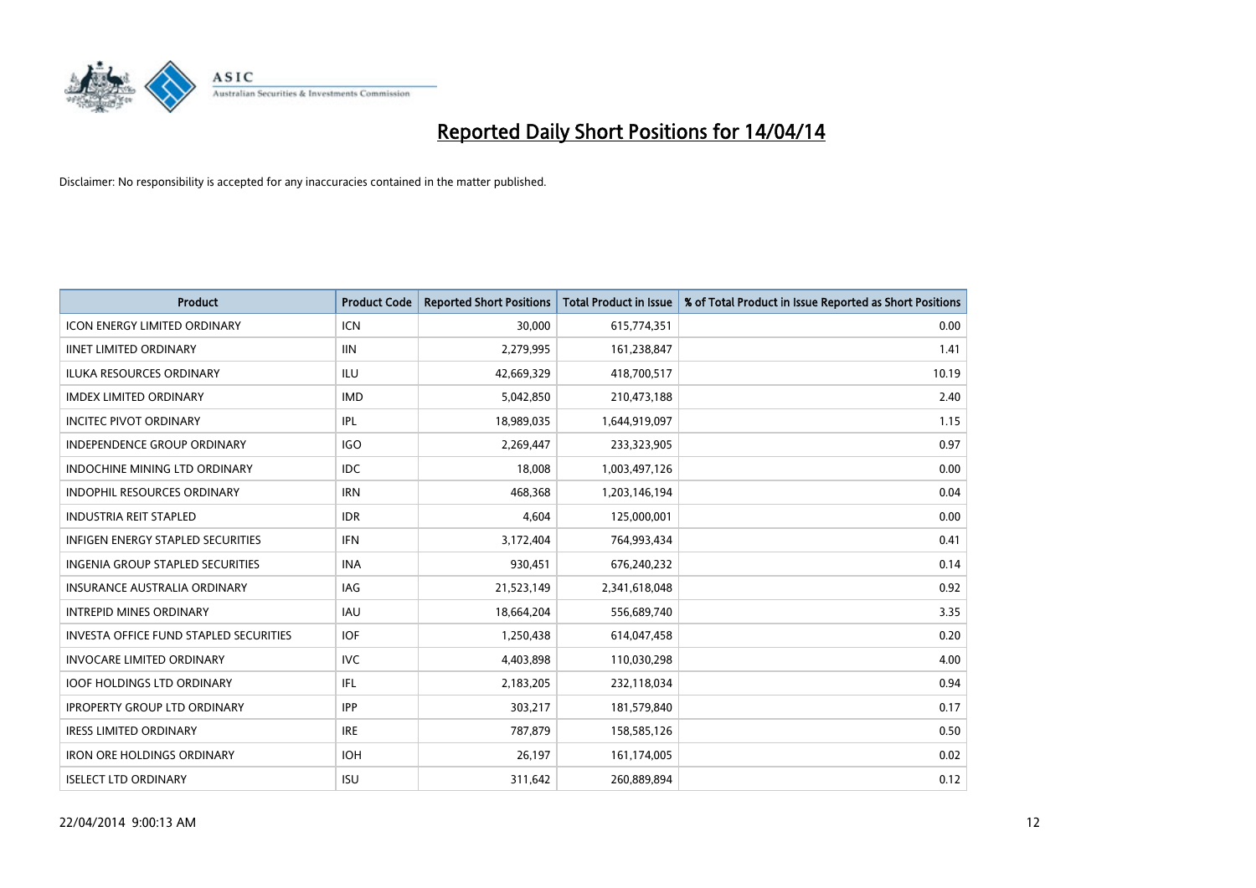

| <b>Product</b>                                | <b>Product Code</b> | <b>Reported Short Positions</b> | <b>Total Product in Issue</b> | % of Total Product in Issue Reported as Short Positions |
|-----------------------------------------------|---------------------|---------------------------------|-------------------------------|---------------------------------------------------------|
| <b>ICON ENERGY LIMITED ORDINARY</b>           | ICN                 | 30,000                          | 615,774,351                   | 0.00                                                    |
| <b>IINET LIMITED ORDINARY</b>                 | <b>IIN</b>          | 2,279,995                       | 161,238,847                   | 1.41                                                    |
| <b>ILUKA RESOURCES ORDINARY</b>               | ILU                 | 42,669,329                      | 418,700,517                   | 10.19                                                   |
| <b>IMDEX LIMITED ORDINARY</b>                 | <b>IMD</b>          | 5,042,850                       | 210,473,188                   | 2.40                                                    |
| <b>INCITEC PIVOT ORDINARY</b>                 | IPL                 | 18,989,035                      | 1,644,919,097                 | 1.15                                                    |
| <b>INDEPENDENCE GROUP ORDINARY</b>            | <b>IGO</b>          | 2,269,447                       | 233,323,905                   | 0.97                                                    |
| <b>INDOCHINE MINING LTD ORDINARY</b>          | <b>IDC</b>          | 18.008                          | 1,003,497,126                 | 0.00                                                    |
| <b>INDOPHIL RESOURCES ORDINARY</b>            | <b>IRN</b>          | 468,368                         | 1,203,146,194                 | 0.04                                                    |
| <b>INDUSTRIA REIT STAPLED</b>                 | <b>IDR</b>          | 4,604                           | 125,000,001                   | 0.00                                                    |
| <b>INFIGEN ENERGY STAPLED SECURITIES</b>      | <b>IFN</b>          | 3,172,404                       | 764,993,434                   | 0.41                                                    |
| <b>INGENIA GROUP STAPLED SECURITIES</b>       | <b>INA</b>          | 930,451                         | 676,240,232                   | 0.14                                                    |
| <b>INSURANCE AUSTRALIA ORDINARY</b>           | IAG                 | 21,523,149                      | 2,341,618,048                 | 0.92                                                    |
| <b>INTREPID MINES ORDINARY</b>                | <b>IAU</b>          | 18,664,204                      | 556,689,740                   | 3.35                                                    |
| <b>INVESTA OFFICE FUND STAPLED SECURITIES</b> | <b>IOF</b>          | 1,250,438                       | 614,047,458                   | 0.20                                                    |
| <b>INVOCARE LIMITED ORDINARY</b>              | <b>IVC</b>          | 4,403,898                       | 110,030,298                   | 4.00                                                    |
| <b>IOOF HOLDINGS LTD ORDINARY</b>             | IFL                 | 2,183,205                       | 232,118,034                   | 0.94                                                    |
| <b>IPROPERTY GROUP LTD ORDINARY</b>           | <b>IPP</b>          | 303,217                         | 181,579,840                   | 0.17                                                    |
| <b>IRESS LIMITED ORDINARY</b>                 | <b>IRE</b>          | 787,879                         | 158,585,126                   | 0.50                                                    |
| <b>IRON ORE HOLDINGS ORDINARY</b>             | <b>IOH</b>          | 26,197                          | 161,174,005                   | 0.02                                                    |
| <b>ISELECT LTD ORDINARY</b>                   | <b>ISU</b>          | 311,642                         | 260,889,894                   | 0.12                                                    |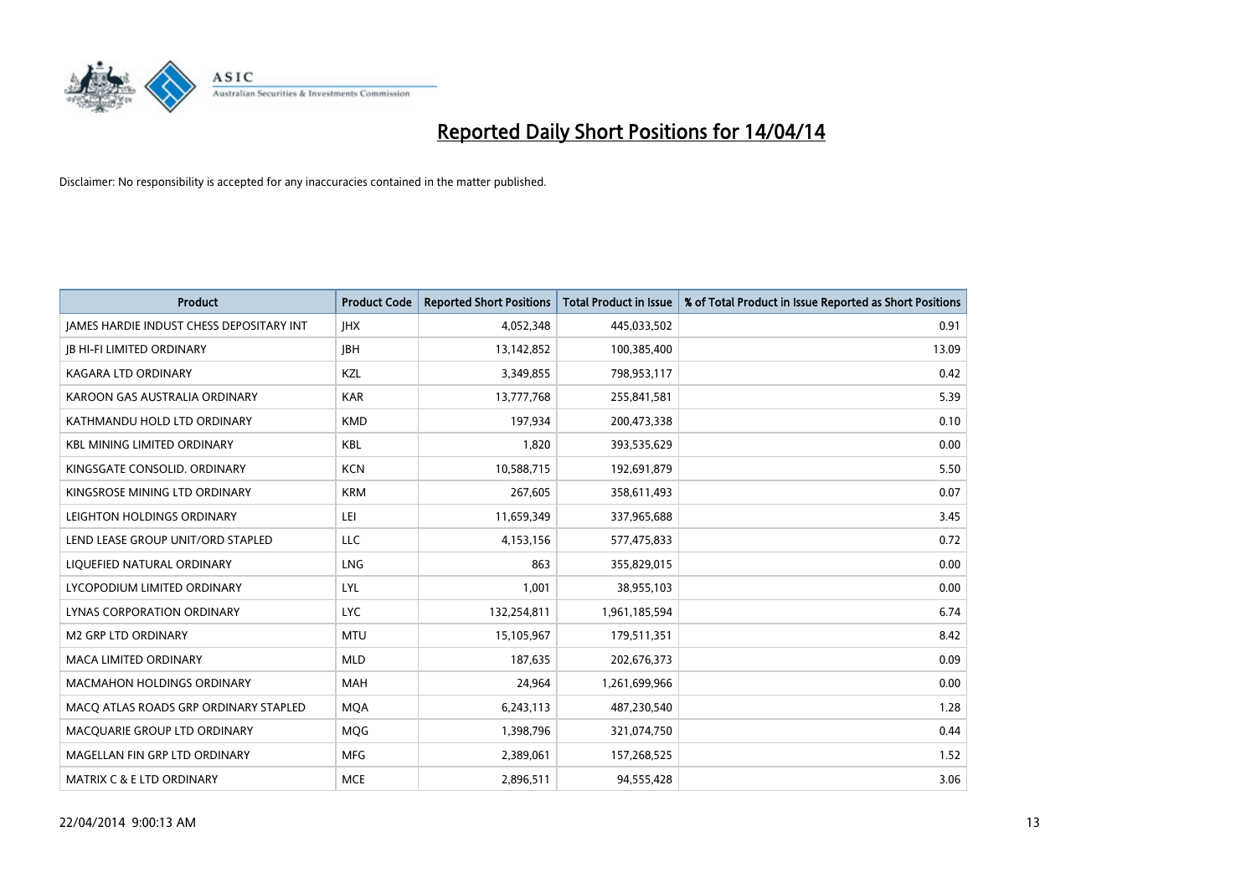

| <b>Product</b>                           | <b>Product Code</b> | <b>Reported Short Positions</b> | <b>Total Product in Issue</b> | % of Total Product in Issue Reported as Short Positions |
|------------------------------------------|---------------------|---------------------------------|-------------------------------|---------------------------------------------------------|
| JAMES HARDIE INDUST CHESS DEPOSITARY INT | <b>IHX</b>          | 4,052,348                       | 445,033,502                   | 0.91                                                    |
| <b>JB HI-FI LIMITED ORDINARY</b>         | <b>JBH</b>          | 13,142,852                      | 100,385,400                   | 13.09                                                   |
| <b>KAGARA LTD ORDINARY</b>               | KZL                 | 3,349,855                       | 798,953,117                   | 0.42                                                    |
| KAROON GAS AUSTRALIA ORDINARY            | <b>KAR</b>          | 13,777,768                      | 255,841,581                   | 5.39                                                    |
| KATHMANDU HOLD LTD ORDINARY              | <b>KMD</b>          | 197,934                         | 200,473,338                   | 0.10                                                    |
| <b>KBL MINING LIMITED ORDINARY</b>       | <b>KBL</b>          | 1,820                           | 393,535,629                   | 0.00                                                    |
| KINGSGATE CONSOLID. ORDINARY             | <b>KCN</b>          | 10,588,715                      | 192,691,879                   | 5.50                                                    |
| KINGSROSE MINING LTD ORDINARY            | <b>KRM</b>          | 267,605                         | 358,611,493                   | 0.07                                                    |
| LEIGHTON HOLDINGS ORDINARY               | LEI                 | 11,659,349                      | 337,965,688                   | 3.45                                                    |
| LEND LEASE GROUP UNIT/ORD STAPLED        | LLC                 | 4,153,156                       | 577,475,833                   | 0.72                                                    |
| LIQUEFIED NATURAL ORDINARY               | <b>LNG</b>          | 863                             | 355,829,015                   | 0.00                                                    |
| LYCOPODIUM LIMITED ORDINARY              | <b>LYL</b>          | 1,001                           | 38,955,103                    | 0.00                                                    |
| LYNAS CORPORATION ORDINARY               | <b>LYC</b>          | 132,254,811                     | 1,961,185,594                 | 6.74                                                    |
| <b>M2 GRP LTD ORDINARY</b>               | <b>MTU</b>          | 15,105,967                      | 179,511,351                   | 8.42                                                    |
| <b>MACA LIMITED ORDINARY</b>             | <b>MLD</b>          | 187,635                         | 202,676,373                   | 0.09                                                    |
| MACMAHON HOLDINGS ORDINARY               | MAH                 | 24,964                          | 1,261,699,966                 | 0.00                                                    |
| MACO ATLAS ROADS GRP ORDINARY STAPLED    | <b>MQA</b>          | 6,243,113                       | 487,230,540                   | 1.28                                                    |
| MACQUARIE GROUP LTD ORDINARY             | MQG                 | 1,398,796                       | 321,074,750                   | 0.44                                                    |
| MAGELLAN FIN GRP LTD ORDINARY            | <b>MFG</b>          | 2,389,061                       | 157,268,525                   | 1.52                                                    |
| <b>MATRIX C &amp; E LTD ORDINARY</b>     | <b>MCE</b>          | 2,896,511                       | 94,555,428                    | 3.06                                                    |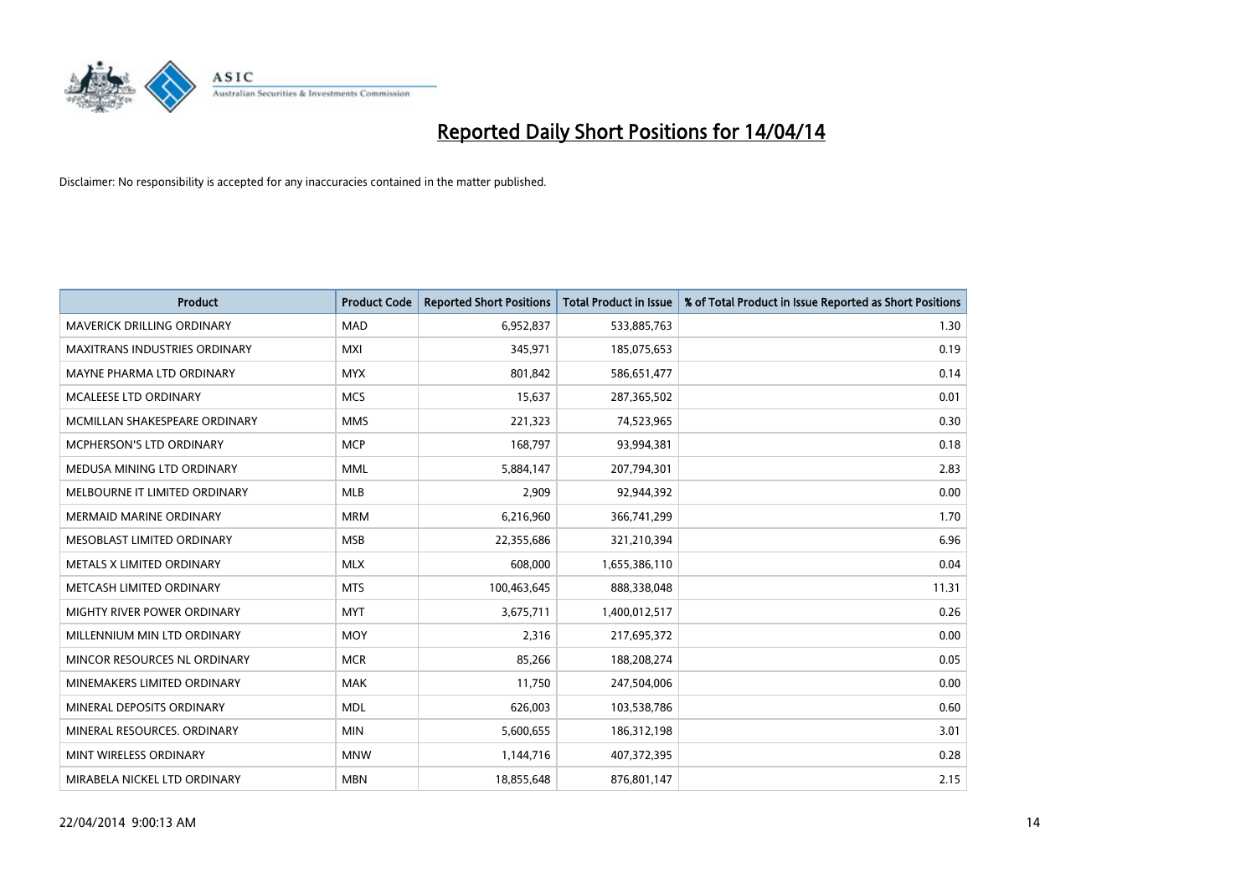

| <b>Product</b>                       | <b>Product Code</b> | <b>Reported Short Positions</b> | <b>Total Product in Issue</b> | % of Total Product in Issue Reported as Short Positions |
|--------------------------------------|---------------------|---------------------------------|-------------------------------|---------------------------------------------------------|
| <b>MAVERICK DRILLING ORDINARY</b>    | <b>MAD</b>          | 6,952,837                       | 533,885,763                   | 1.30                                                    |
| <b>MAXITRANS INDUSTRIES ORDINARY</b> | MXI                 | 345,971                         | 185,075,653                   | 0.19                                                    |
| MAYNE PHARMA LTD ORDINARY            | <b>MYX</b>          | 801,842                         | 586,651,477                   | 0.14                                                    |
| MCALEESE LTD ORDINARY                | <b>MCS</b>          | 15,637                          | 287,365,502                   | 0.01                                                    |
| MCMILLAN SHAKESPEARE ORDINARY        | <b>MMS</b>          | 221,323                         | 74,523,965                    | 0.30                                                    |
| MCPHERSON'S LTD ORDINARY             | <b>MCP</b>          | 168,797                         | 93,994,381                    | 0.18                                                    |
| MEDUSA MINING LTD ORDINARY           | <b>MML</b>          | 5,884,147                       | 207,794,301                   | 2.83                                                    |
| MELBOURNE IT LIMITED ORDINARY        | <b>MLB</b>          | 2,909                           | 92,944,392                    | 0.00                                                    |
| <b>MERMAID MARINE ORDINARY</b>       | <b>MRM</b>          | 6,216,960                       | 366,741,299                   | 1.70                                                    |
| MESOBLAST LIMITED ORDINARY           | <b>MSB</b>          | 22,355,686                      | 321,210,394                   | 6.96                                                    |
| METALS X LIMITED ORDINARY            | <b>MLX</b>          | 608,000                         | 1,655,386,110                 | 0.04                                                    |
| METCASH LIMITED ORDINARY             | <b>MTS</b>          | 100,463,645                     | 888,338,048                   | 11.31                                                   |
| MIGHTY RIVER POWER ORDINARY          | <b>MYT</b>          | 3,675,711                       | 1,400,012,517                 | 0.26                                                    |
| MILLENNIUM MIN LTD ORDINARY          | <b>MOY</b>          | 2,316                           | 217,695,372                   | 0.00                                                    |
| MINCOR RESOURCES NL ORDINARY         | <b>MCR</b>          | 85,266                          | 188,208,274                   | 0.05                                                    |
| MINEMAKERS LIMITED ORDINARY          | <b>MAK</b>          | 11,750                          | 247,504,006                   | 0.00                                                    |
| MINERAL DEPOSITS ORDINARY            | <b>MDL</b>          | 626,003                         | 103,538,786                   | 0.60                                                    |
| MINERAL RESOURCES. ORDINARY          | <b>MIN</b>          | 5,600,655                       | 186,312,198                   | 3.01                                                    |
| MINT WIRELESS ORDINARY               | <b>MNW</b>          | 1,144,716                       | 407,372,395                   | 0.28                                                    |
| MIRABELA NICKEL LTD ORDINARY         | <b>MBN</b>          | 18,855,648                      | 876,801,147                   | 2.15                                                    |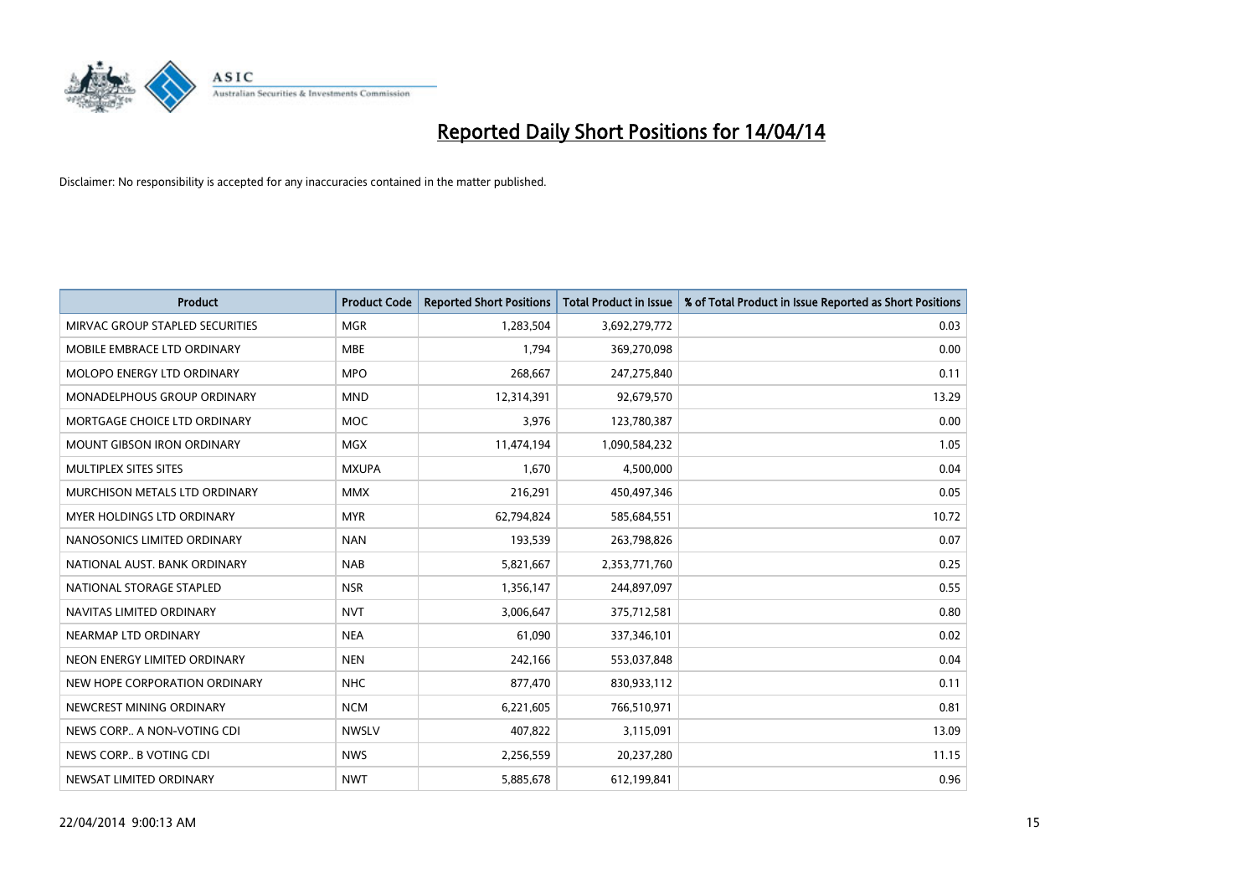

| <b>Product</b>                    | <b>Product Code</b> | <b>Reported Short Positions</b> | <b>Total Product in Issue</b> | % of Total Product in Issue Reported as Short Positions |
|-----------------------------------|---------------------|---------------------------------|-------------------------------|---------------------------------------------------------|
| MIRVAC GROUP STAPLED SECURITIES   | <b>MGR</b>          | 1,283,504                       | 3,692,279,772                 | 0.03                                                    |
| MOBILE EMBRACE LTD ORDINARY       | <b>MBE</b>          | 1,794                           | 369,270,098                   | 0.00                                                    |
| MOLOPO ENERGY LTD ORDINARY        | <b>MPO</b>          | 268,667                         | 247,275,840                   | 0.11                                                    |
| MONADELPHOUS GROUP ORDINARY       | <b>MND</b>          | 12,314,391                      | 92,679,570                    | 13.29                                                   |
| MORTGAGE CHOICE LTD ORDINARY      | <b>MOC</b>          | 3,976                           | 123,780,387                   | 0.00                                                    |
| <b>MOUNT GIBSON IRON ORDINARY</b> | <b>MGX</b>          | 11,474,194                      | 1,090,584,232                 | 1.05                                                    |
| MULTIPLEX SITES SITES             | <b>MXUPA</b>        | 1,670                           | 4,500,000                     | 0.04                                                    |
| MURCHISON METALS LTD ORDINARY     | <b>MMX</b>          | 216,291                         | 450,497,346                   | 0.05                                                    |
| <b>MYER HOLDINGS LTD ORDINARY</b> | <b>MYR</b>          | 62,794,824                      | 585,684,551                   | 10.72                                                   |
| NANOSONICS LIMITED ORDINARY       | <b>NAN</b>          | 193,539                         | 263,798,826                   | 0.07                                                    |
| NATIONAL AUST. BANK ORDINARY      | <b>NAB</b>          | 5,821,667                       | 2,353,771,760                 | 0.25                                                    |
| NATIONAL STORAGE STAPLED          | <b>NSR</b>          | 1,356,147                       | 244,897,097                   | 0.55                                                    |
| NAVITAS LIMITED ORDINARY          | <b>NVT</b>          | 3,006,647                       | 375,712,581                   | 0.80                                                    |
| NEARMAP LTD ORDINARY              | <b>NEA</b>          | 61,090                          | 337,346,101                   | 0.02                                                    |
| NEON ENERGY LIMITED ORDINARY      | <b>NEN</b>          | 242,166                         | 553,037,848                   | 0.04                                                    |
| NEW HOPE CORPORATION ORDINARY     | <b>NHC</b>          | 877,470                         | 830,933,112                   | 0.11                                                    |
| NEWCREST MINING ORDINARY          | <b>NCM</b>          | 6,221,605                       | 766,510,971                   | 0.81                                                    |
| NEWS CORP A NON-VOTING CDI        | <b>NWSLV</b>        | 407,822                         | 3,115,091                     | 13.09                                                   |
| NEWS CORP B VOTING CDI            | <b>NWS</b>          | 2,256,559                       | 20,237,280                    | 11.15                                                   |
| NEWSAT LIMITED ORDINARY           | <b>NWT</b>          | 5,885,678                       | 612,199,841                   | 0.96                                                    |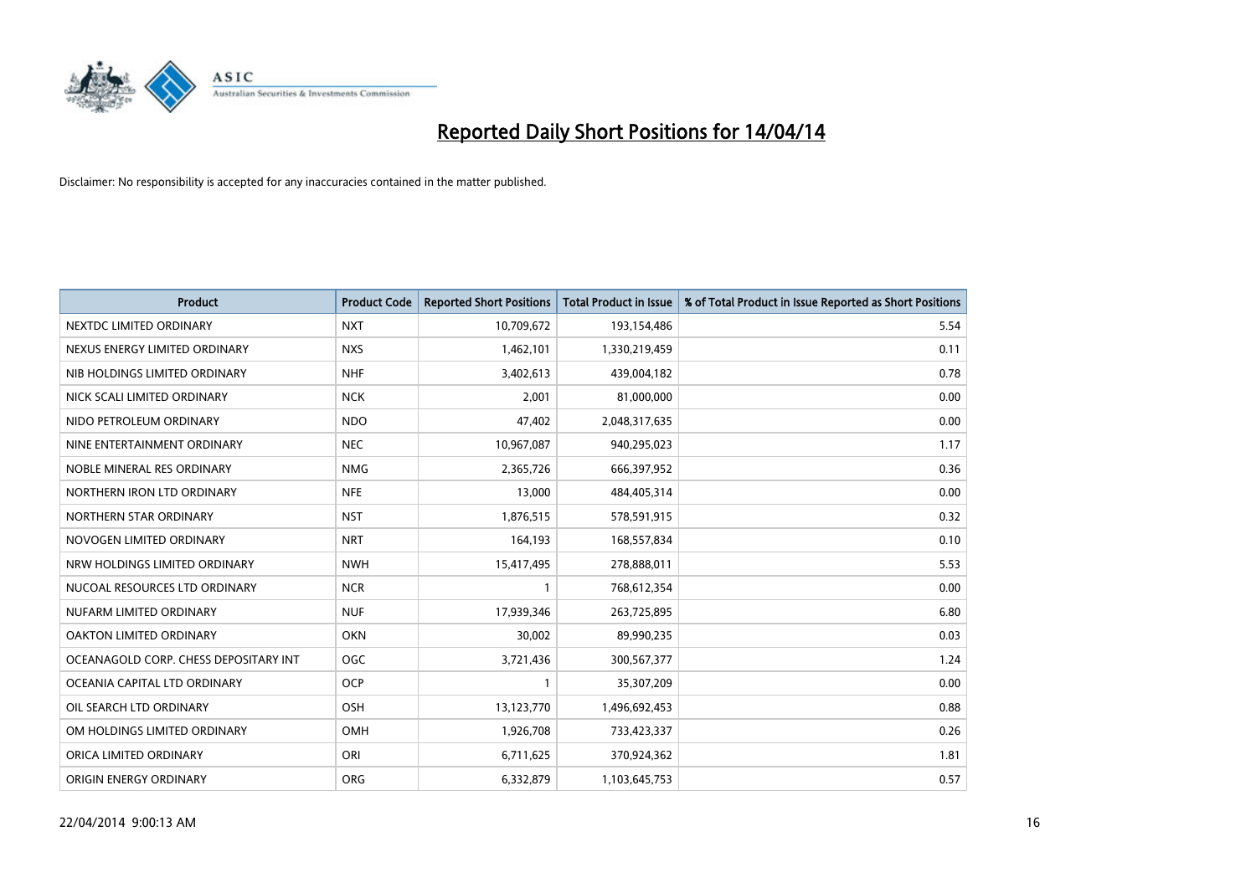

| <b>Product</b>                        | <b>Product Code</b> | <b>Reported Short Positions</b> | <b>Total Product in Issue</b> | % of Total Product in Issue Reported as Short Positions |
|---------------------------------------|---------------------|---------------------------------|-------------------------------|---------------------------------------------------------|
| NEXTDC LIMITED ORDINARY               | <b>NXT</b>          | 10,709,672                      | 193,154,486                   | 5.54                                                    |
| NEXUS ENERGY LIMITED ORDINARY         | <b>NXS</b>          | 1,462,101                       | 1,330,219,459                 | 0.11                                                    |
| NIB HOLDINGS LIMITED ORDINARY         | <b>NHF</b>          | 3,402,613                       | 439,004,182                   | 0.78                                                    |
| NICK SCALI LIMITED ORDINARY           | <b>NCK</b>          | 2,001                           | 81,000,000                    | 0.00                                                    |
| NIDO PETROLEUM ORDINARY               | <b>NDO</b>          | 47,402                          | 2,048,317,635                 | 0.00                                                    |
| NINE ENTERTAINMENT ORDINARY           | <b>NEC</b>          | 10,967,087                      | 940,295,023                   | 1.17                                                    |
| NOBLE MINERAL RES ORDINARY            | <b>NMG</b>          | 2,365,726                       | 666,397,952                   | 0.36                                                    |
| NORTHERN IRON LTD ORDINARY            | <b>NFE</b>          | 13,000                          | 484,405,314                   | 0.00                                                    |
| NORTHERN STAR ORDINARY                | <b>NST</b>          | 1,876,515                       | 578,591,915                   | 0.32                                                    |
| NOVOGEN LIMITED ORDINARY              | <b>NRT</b>          | 164,193                         | 168,557,834                   | 0.10                                                    |
| NRW HOLDINGS LIMITED ORDINARY         | <b>NWH</b>          | 15,417,495                      | 278,888,011                   | 5.53                                                    |
| NUCOAL RESOURCES LTD ORDINARY         | <b>NCR</b>          | 1                               | 768,612,354                   | 0.00                                                    |
| NUFARM LIMITED ORDINARY               | <b>NUF</b>          | 17,939,346                      | 263,725,895                   | 6.80                                                    |
| OAKTON LIMITED ORDINARY               | <b>OKN</b>          | 30,002                          | 89,990,235                    | 0.03                                                    |
| OCEANAGOLD CORP. CHESS DEPOSITARY INT | <b>OGC</b>          | 3,721,436                       | 300,567,377                   | 1.24                                                    |
| OCEANIA CAPITAL LTD ORDINARY          | <b>OCP</b>          | -1                              | 35,307,209                    | 0.00                                                    |
| OIL SEARCH LTD ORDINARY               | OSH                 | 13,123,770                      | 1,496,692,453                 | 0.88                                                    |
| OM HOLDINGS LIMITED ORDINARY          | OMH                 | 1,926,708                       | 733,423,337                   | 0.26                                                    |
| ORICA LIMITED ORDINARY                | ORI                 | 6,711,625                       | 370,924,362                   | 1.81                                                    |
| ORIGIN ENERGY ORDINARY                | <b>ORG</b>          | 6,332,879                       | 1,103,645,753                 | 0.57                                                    |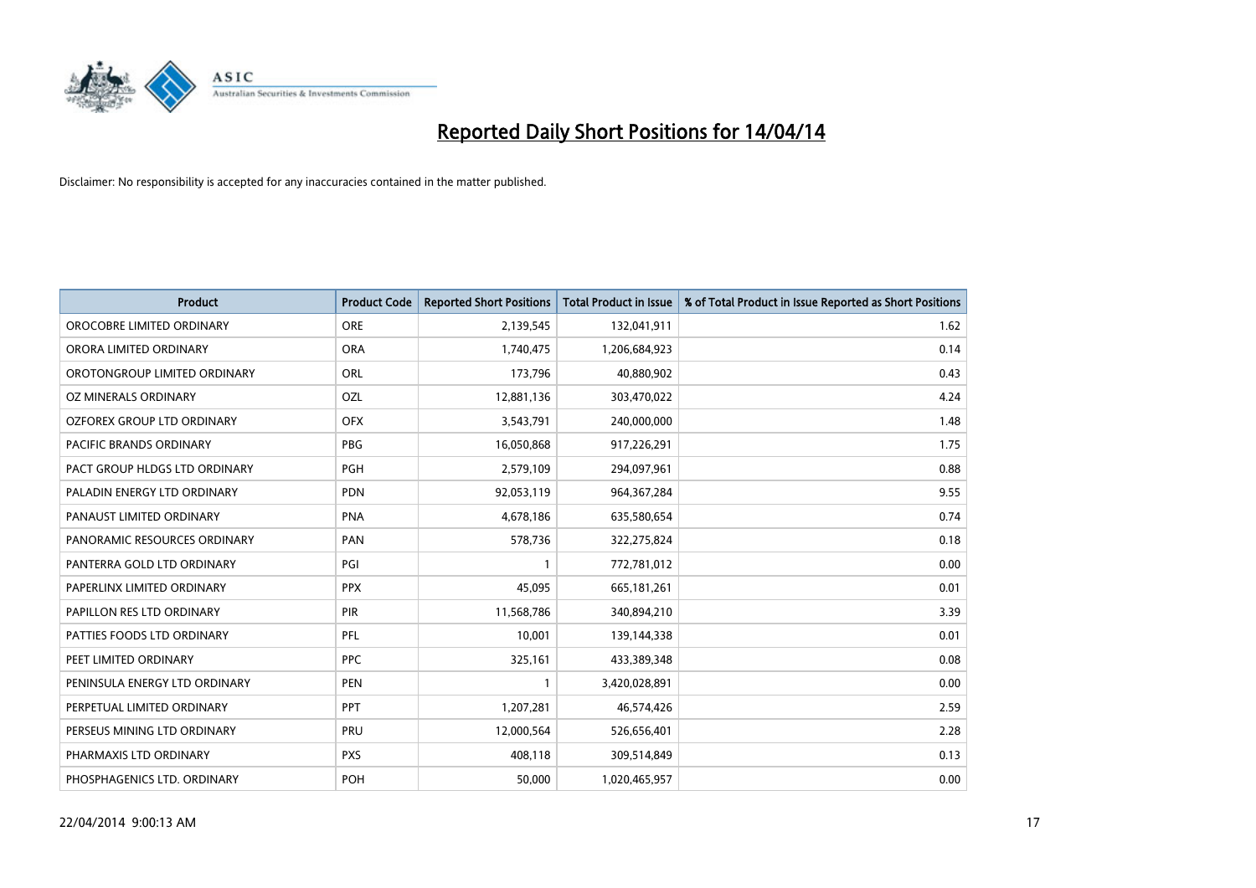

| <b>Product</b>                    | <b>Product Code</b> | <b>Reported Short Positions</b> | <b>Total Product in Issue</b> | % of Total Product in Issue Reported as Short Positions |
|-----------------------------------|---------------------|---------------------------------|-------------------------------|---------------------------------------------------------|
| OROCOBRE LIMITED ORDINARY         | <b>ORE</b>          | 2,139,545                       | 132,041,911                   | 1.62                                                    |
| ORORA LIMITED ORDINARY            | <b>ORA</b>          | 1,740,475                       | 1,206,684,923                 | 0.14                                                    |
| OROTONGROUP LIMITED ORDINARY      | <b>ORL</b>          | 173,796                         | 40,880,902                    | 0.43                                                    |
| OZ MINERALS ORDINARY              | <b>OZL</b>          | 12,881,136                      | 303,470,022                   | 4.24                                                    |
| <b>OZFOREX GROUP LTD ORDINARY</b> | <b>OFX</b>          | 3,543,791                       | 240,000,000                   | 1.48                                                    |
| <b>PACIFIC BRANDS ORDINARY</b>    | <b>PBG</b>          | 16,050,868                      | 917,226,291                   | 1.75                                                    |
| PACT GROUP HLDGS LTD ORDINARY     | <b>PGH</b>          | 2,579,109                       | 294,097,961                   | 0.88                                                    |
| PALADIN ENERGY LTD ORDINARY       | <b>PDN</b>          | 92,053,119                      | 964, 367, 284                 | 9.55                                                    |
| PANAUST LIMITED ORDINARY          | <b>PNA</b>          | 4,678,186                       | 635,580,654                   | 0.74                                                    |
| PANORAMIC RESOURCES ORDINARY      | PAN                 | 578,736                         | 322,275,824                   | 0.18                                                    |
| PANTERRA GOLD LTD ORDINARY        | PGI                 |                                 | 772,781,012                   | 0.00                                                    |
| PAPERLINX LIMITED ORDINARY        | <b>PPX</b>          | 45,095                          | 665,181,261                   | 0.01                                                    |
| PAPILLON RES LTD ORDINARY         | PIR                 | 11,568,786                      | 340,894,210                   | 3.39                                                    |
| PATTIES FOODS LTD ORDINARY        | PFL                 | 10,001                          | 139,144,338                   | 0.01                                                    |
| PEET LIMITED ORDINARY             | <b>PPC</b>          | 325,161                         | 433,389,348                   | 0.08                                                    |
| PENINSULA ENERGY LTD ORDINARY     | <b>PEN</b>          |                                 | 3,420,028,891                 | 0.00                                                    |
| PERPETUAL LIMITED ORDINARY        | <b>PPT</b>          | 1,207,281                       | 46,574,426                    | 2.59                                                    |
| PERSEUS MINING LTD ORDINARY       | <b>PRU</b>          | 12,000,564                      | 526,656,401                   | 2.28                                                    |
| PHARMAXIS LTD ORDINARY            | <b>PXS</b>          | 408,118                         | 309,514,849                   | 0.13                                                    |
| PHOSPHAGENICS LTD. ORDINARY       | POH                 | 50,000                          | 1,020,465,957                 | 0.00                                                    |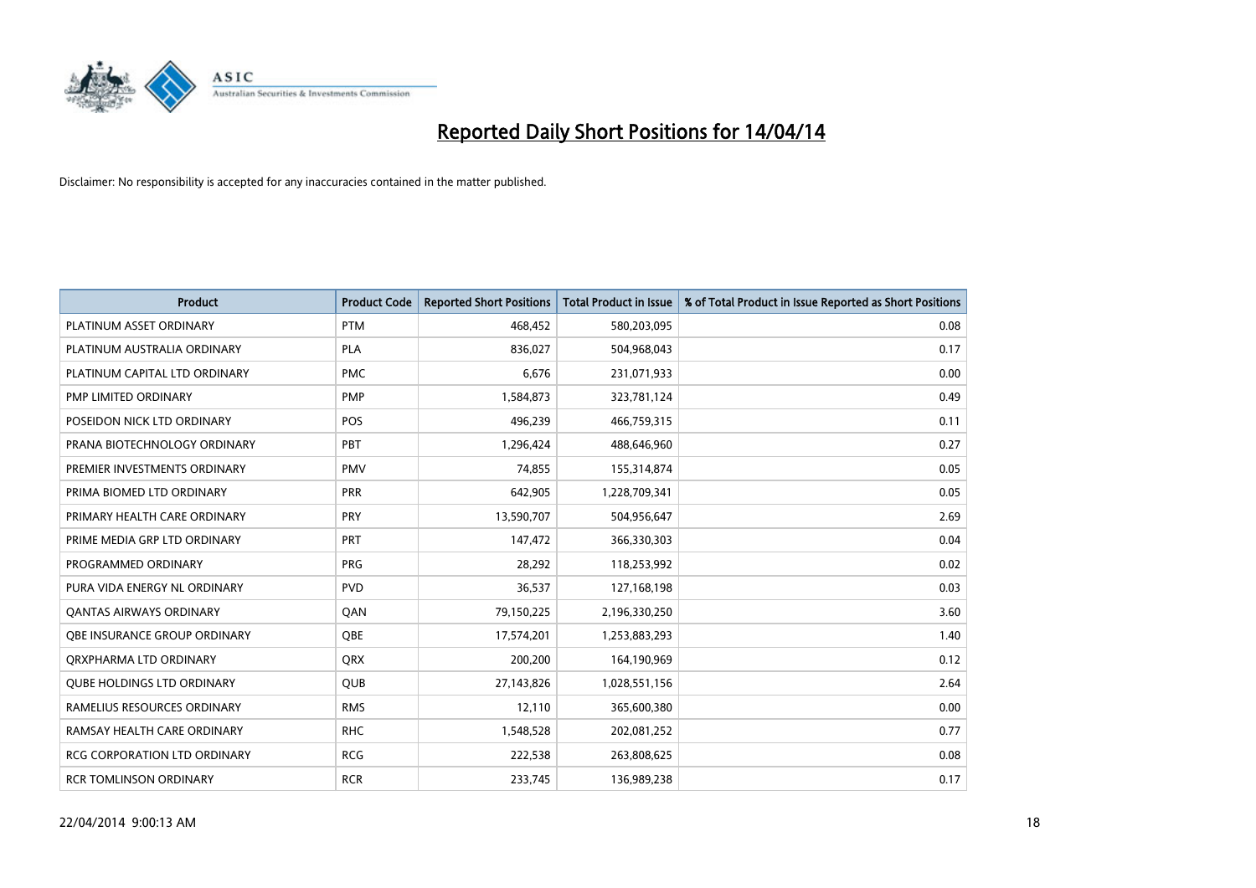

| <b>Product</b>                      | <b>Product Code</b> | <b>Reported Short Positions</b> | <b>Total Product in Issue</b> | % of Total Product in Issue Reported as Short Positions |
|-------------------------------------|---------------------|---------------------------------|-------------------------------|---------------------------------------------------------|
| PLATINUM ASSET ORDINARY             | <b>PTM</b>          | 468,452                         | 580,203,095                   | 0.08                                                    |
| PLATINUM AUSTRALIA ORDINARY         | <b>PLA</b>          | 836,027                         | 504,968,043                   | 0.17                                                    |
| PLATINUM CAPITAL LTD ORDINARY       | <b>PMC</b>          | 6,676                           | 231,071,933                   | 0.00                                                    |
| PMP LIMITED ORDINARY                | <b>PMP</b>          | 1,584,873                       | 323,781,124                   | 0.49                                                    |
| POSEIDON NICK LTD ORDINARY          | <b>POS</b>          | 496,239                         | 466,759,315                   | 0.11                                                    |
| PRANA BIOTECHNOLOGY ORDINARY        | PBT                 | 1,296,424                       | 488,646,960                   | 0.27                                                    |
| PREMIER INVESTMENTS ORDINARY        | <b>PMV</b>          | 74,855                          | 155,314,874                   | 0.05                                                    |
| PRIMA BIOMED LTD ORDINARY           | <b>PRR</b>          | 642,905                         | 1,228,709,341                 | 0.05                                                    |
| PRIMARY HEALTH CARE ORDINARY        | <b>PRY</b>          | 13,590,707                      | 504,956,647                   | 2.69                                                    |
| PRIME MEDIA GRP LTD ORDINARY        | <b>PRT</b>          | 147,472                         | 366,330,303                   | 0.04                                                    |
| PROGRAMMED ORDINARY                 | <b>PRG</b>          | 28,292                          | 118,253,992                   | 0.02                                                    |
| PURA VIDA ENERGY NL ORDINARY        | <b>PVD</b>          | 36,537                          | 127,168,198                   | 0.03                                                    |
| <b>QANTAS AIRWAYS ORDINARY</b>      | QAN                 | 79,150,225                      | 2,196,330,250                 | 3.60                                                    |
| OBE INSURANCE GROUP ORDINARY        | <b>OBE</b>          | 17,574,201                      | 1,253,883,293                 | 1.40                                                    |
| ORXPHARMA LTD ORDINARY              | <b>QRX</b>          | 200,200                         | 164,190,969                   | 0.12                                                    |
| <b>QUBE HOLDINGS LTD ORDINARY</b>   | <b>QUB</b>          | 27,143,826                      | 1,028,551,156                 | 2.64                                                    |
| RAMELIUS RESOURCES ORDINARY         | <b>RMS</b>          | 12,110                          | 365,600,380                   | 0.00                                                    |
| RAMSAY HEALTH CARE ORDINARY         | <b>RHC</b>          | 1,548,528                       | 202,081,252                   | 0.77                                                    |
| <b>RCG CORPORATION LTD ORDINARY</b> | <b>RCG</b>          | 222,538                         | 263,808,625                   | 0.08                                                    |
| RCR TOMLINSON ORDINARY              | <b>RCR</b>          | 233,745                         | 136,989,238                   | 0.17                                                    |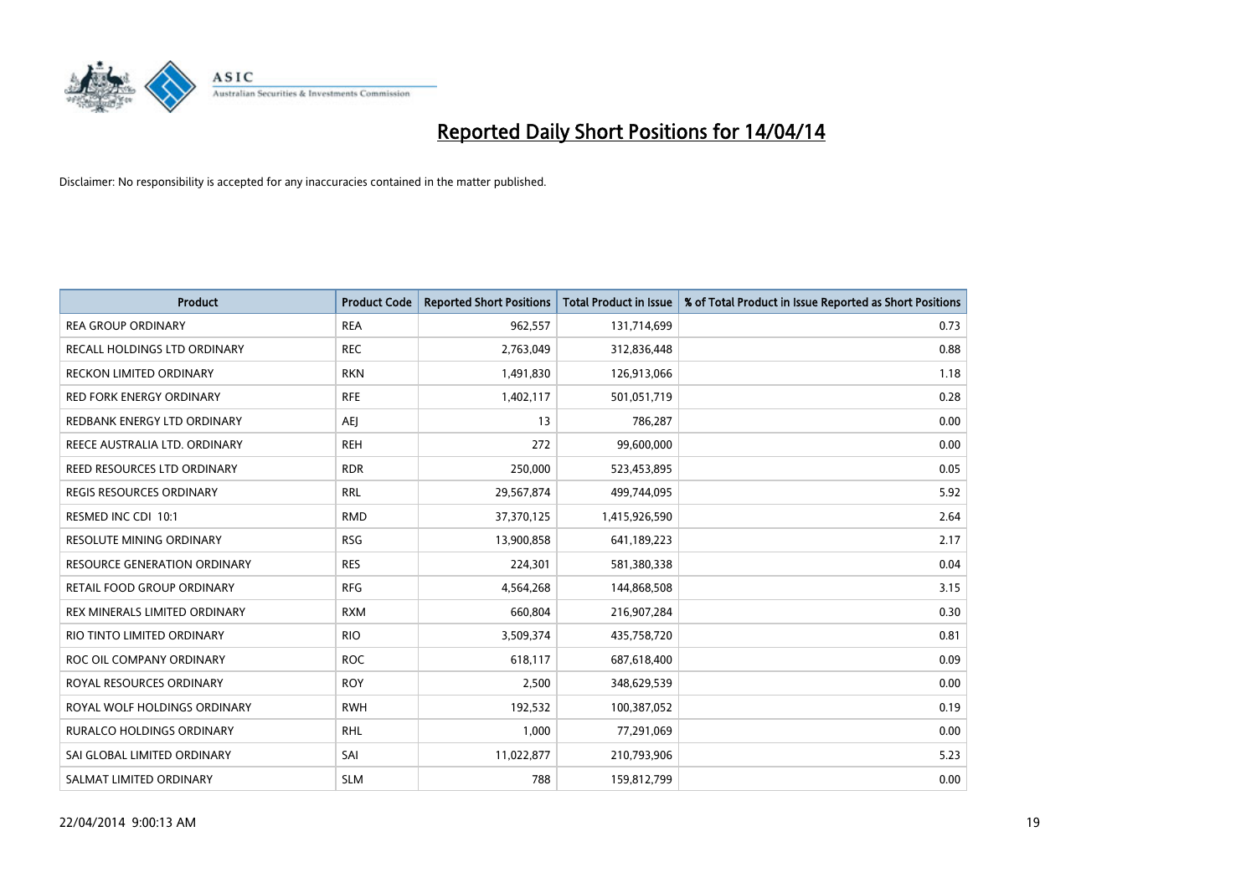

| <b>Product</b>                      | <b>Product Code</b> | <b>Reported Short Positions</b> | <b>Total Product in Issue</b> | % of Total Product in Issue Reported as Short Positions |
|-------------------------------------|---------------------|---------------------------------|-------------------------------|---------------------------------------------------------|
| <b>REA GROUP ORDINARY</b>           | <b>REA</b>          | 962,557                         | 131,714,699                   | 0.73                                                    |
| RECALL HOLDINGS LTD ORDINARY        | <b>REC</b>          | 2,763,049                       | 312,836,448                   | 0.88                                                    |
| RECKON LIMITED ORDINARY             | <b>RKN</b>          | 1,491,830                       | 126,913,066                   | 1.18                                                    |
| RED FORK ENERGY ORDINARY            | <b>RFE</b>          | 1,402,117                       | 501,051,719                   | 0.28                                                    |
| REDBANK ENERGY LTD ORDINARY         | <b>AEJ</b>          | 13                              | 786,287                       | 0.00                                                    |
| REECE AUSTRALIA LTD. ORDINARY       | <b>REH</b>          | 272                             | 99,600,000                    | 0.00                                                    |
| REED RESOURCES LTD ORDINARY         | <b>RDR</b>          | 250,000                         | 523,453,895                   | 0.05                                                    |
| REGIS RESOURCES ORDINARY            | <b>RRL</b>          | 29,567,874                      | 499,744,095                   | 5.92                                                    |
| RESMED INC CDI 10:1                 | <b>RMD</b>          | 37,370,125                      | 1,415,926,590                 | 2.64                                                    |
| <b>RESOLUTE MINING ORDINARY</b>     | <b>RSG</b>          | 13,900,858                      | 641,189,223                   | 2.17                                                    |
| <b>RESOURCE GENERATION ORDINARY</b> | <b>RES</b>          | 224,301                         | 581,380,338                   | 0.04                                                    |
| <b>RETAIL FOOD GROUP ORDINARY</b>   | <b>RFG</b>          | 4,564,268                       | 144,868,508                   | 3.15                                                    |
| REX MINERALS LIMITED ORDINARY       | <b>RXM</b>          | 660,804                         | 216,907,284                   | 0.30                                                    |
| RIO TINTO LIMITED ORDINARY          | <b>RIO</b>          | 3,509,374                       | 435,758,720                   | 0.81                                                    |
| ROC OIL COMPANY ORDINARY            | <b>ROC</b>          | 618,117                         | 687,618,400                   | 0.09                                                    |
| ROYAL RESOURCES ORDINARY            | <b>ROY</b>          | 2,500                           | 348,629,539                   | 0.00                                                    |
| ROYAL WOLF HOLDINGS ORDINARY        | <b>RWH</b>          | 192,532                         | 100,387,052                   | 0.19                                                    |
| RURALCO HOLDINGS ORDINARY           | <b>RHL</b>          | 1,000                           | 77,291,069                    | 0.00                                                    |
| SAI GLOBAL LIMITED ORDINARY         | SAI                 | 11,022,877                      | 210,793,906                   | 5.23                                                    |
| SALMAT LIMITED ORDINARY             | <b>SLM</b>          | 788                             | 159,812,799                   | 0.00                                                    |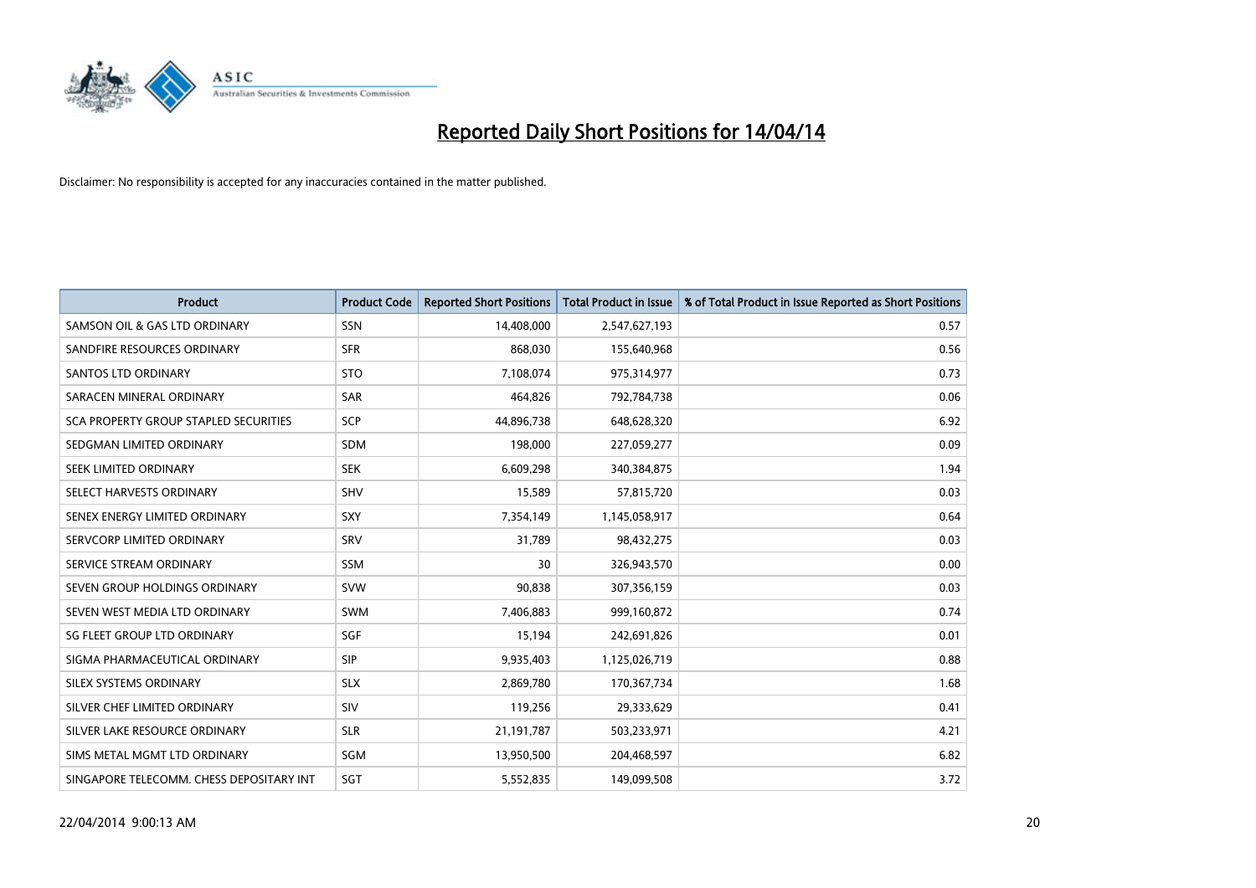

| <b>Product</b>                           | <b>Product Code</b> | <b>Reported Short Positions</b> | <b>Total Product in Issue</b> | % of Total Product in Issue Reported as Short Positions |
|------------------------------------------|---------------------|---------------------------------|-------------------------------|---------------------------------------------------------|
| SAMSON OIL & GAS LTD ORDINARY            | <b>SSN</b>          | 14,408,000                      | 2,547,627,193                 | 0.57                                                    |
| SANDFIRE RESOURCES ORDINARY              | <b>SFR</b>          | 868,030                         | 155,640,968                   | 0.56                                                    |
| <b>SANTOS LTD ORDINARY</b>               | <b>STO</b>          | 7,108,074                       | 975,314,977                   | 0.73                                                    |
| SARACEN MINERAL ORDINARY                 | <b>SAR</b>          | 464,826                         | 792,784,738                   | 0.06                                                    |
| SCA PROPERTY GROUP STAPLED SECURITIES    | <b>SCP</b>          | 44,896,738                      | 648,628,320                   | 6.92                                                    |
| SEDGMAN LIMITED ORDINARY                 | <b>SDM</b>          | 198,000                         | 227,059,277                   | 0.09                                                    |
| SEEK LIMITED ORDINARY                    | <b>SEK</b>          | 6,609,298                       | 340,384,875                   | 1.94                                                    |
| SELECT HARVESTS ORDINARY                 | <b>SHV</b>          | 15,589                          | 57,815,720                    | 0.03                                                    |
| SENEX ENERGY LIMITED ORDINARY            | SXY                 | 7,354,149                       | 1,145,058,917                 | 0.64                                                    |
| SERVCORP LIMITED ORDINARY                | SRV                 | 31,789                          | 98,432,275                    | 0.03                                                    |
| SERVICE STREAM ORDINARY                  | <b>SSM</b>          | 30                              | 326,943,570                   | 0.00                                                    |
| SEVEN GROUP HOLDINGS ORDINARY            | <b>SVW</b>          | 90,838                          | 307,356,159                   | 0.03                                                    |
| SEVEN WEST MEDIA LTD ORDINARY            | <b>SWM</b>          | 7,406,883                       | 999,160,872                   | 0.74                                                    |
| SG FLEET GROUP LTD ORDINARY              | SGF                 | 15,194                          | 242,691,826                   | 0.01                                                    |
| SIGMA PHARMACEUTICAL ORDINARY            | <b>SIP</b>          | 9,935,403                       | 1,125,026,719                 | 0.88                                                    |
| SILEX SYSTEMS ORDINARY                   | <b>SLX</b>          | 2,869,780                       | 170,367,734                   | 1.68                                                    |
| SILVER CHEF LIMITED ORDINARY             | SIV                 | 119,256                         | 29,333,629                    | 0.41                                                    |
| SILVER LAKE RESOURCE ORDINARY            | <b>SLR</b>          | 21,191,787                      | 503,233,971                   | 4.21                                                    |
| SIMS METAL MGMT LTD ORDINARY             | SGM                 | 13,950,500                      | 204,468,597                   | 6.82                                                    |
| SINGAPORE TELECOMM. CHESS DEPOSITARY INT | SGT                 | 5,552,835                       | 149,099,508                   | 3.72                                                    |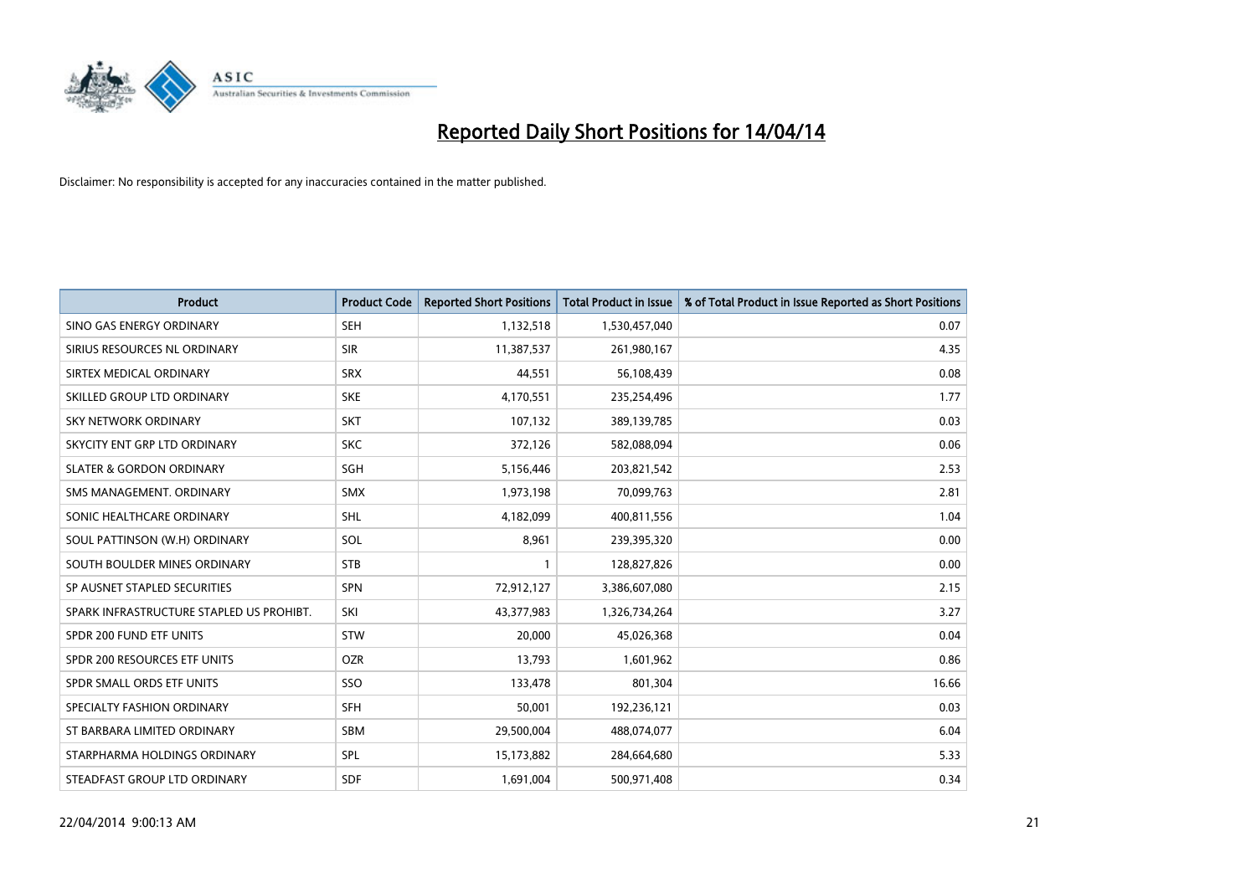

| <b>Product</b>                           | <b>Product Code</b> | <b>Reported Short Positions</b> | <b>Total Product in Issue</b> | % of Total Product in Issue Reported as Short Positions |
|------------------------------------------|---------------------|---------------------------------|-------------------------------|---------------------------------------------------------|
| SINO GAS ENERGY ORDINARY                 | <b>SEH</b>          | 1,132,518                       | 1,530,457,040                 | 0.07                                                    |
| SIRIUS RESOURCES NL ORDINARY             | <b>SIR</b>          | 11,387,537                      | 261,980,167                   | 4.35                                                    |
| SIRTEX MEDICAL ORDINARY                  | <b>SRX</b>          | 44,551                          | 56,108,439                    | 0.08                                                    |
| SKILLED GROUP LTD ORDINARY               | <b>SKE</b>          | 4,170,551                       | 235,254,496                   | 1.77                                                    |
| <b>SKY NETWORK ORDINARY</b>              | <b>SKT</b>          | 107,132                         | 389,139,785                   | 0.03                                                    |
| SKYCITY ENT GRP LTD ORDINARY             | <b>SKC</b>          | 372,126                         | 582,088,094                   | 0.06                                                    |
| <b>SLATER &amp; GORDON ORDINARY</b>      | SGH                 | 5,156,446                       | 203,821,542                   | 2.53                                                    |
| SMS MANAGEMENT. ORDINARY                 | <b>SMX</b>          | 1,973,198                       | 70,099,763                    | 2.81                                                    |
| SONIC HEALTHCARE ORDINARY                | <b>SHL</b>          | 4,182,099                       | 400,811,556                   | 1.04                                                    |
| SOUL PATTINSON (W.H) ORDINARY            | SOL                 | 8,961                           | 239,395,320                   | 0.00                                                    |
| SOUTH BOULDER MINES ORDINARY             | <b>STB</b>          | 1                               | 128,827,826                   | 0.00                                                    |
| SP AUSNET STAPLED SECURITIES             | SPN                 | 72,912,127                      | 3,386,607,080                 | 2.15                                                    |
| SPARK INFRASTRUCTURE STAPLED US PROHIBT. | SKI                 | 43,377,983                      | 1,326,734,264                 | 3.27                                                    |
| SPDR 200 FUND ETF UNITS                  | <b>STW</b>          | 20,000                          | 45,026,368                    | 0.04                                                    |
| SPDR 200 RESOURCES ETF UNITS             | <b>OZR</b>          | 13,793                          | 1,601,962                     | 0.86                                                    |
| SPDR SMALL ORDS ETF UNITS                | SSO                 | 133,478                         | 801,304                       | 16.66                                                   |
| SPECIALTY FASHION ORDINARY               | <b>SFH</b>          | 50,001                          | 192,236,121                   | 0.03                                                    |
| ST BARBARA LIMITED ORDINARY              | <b>SBM</b>          | 29,500,004                      | 488,074,077                   | 6.04                                                    |
| STARPHARMA HOLDINGS ORDINARY             | SPL                 | 15,173,882                      | 284,664,680                   | 5.33                                                    |
| STEADFAST GROUP LTD ORDINARY             | SDF                 | 1,691,004                       | 500,971,408                   | 0.34                                                    |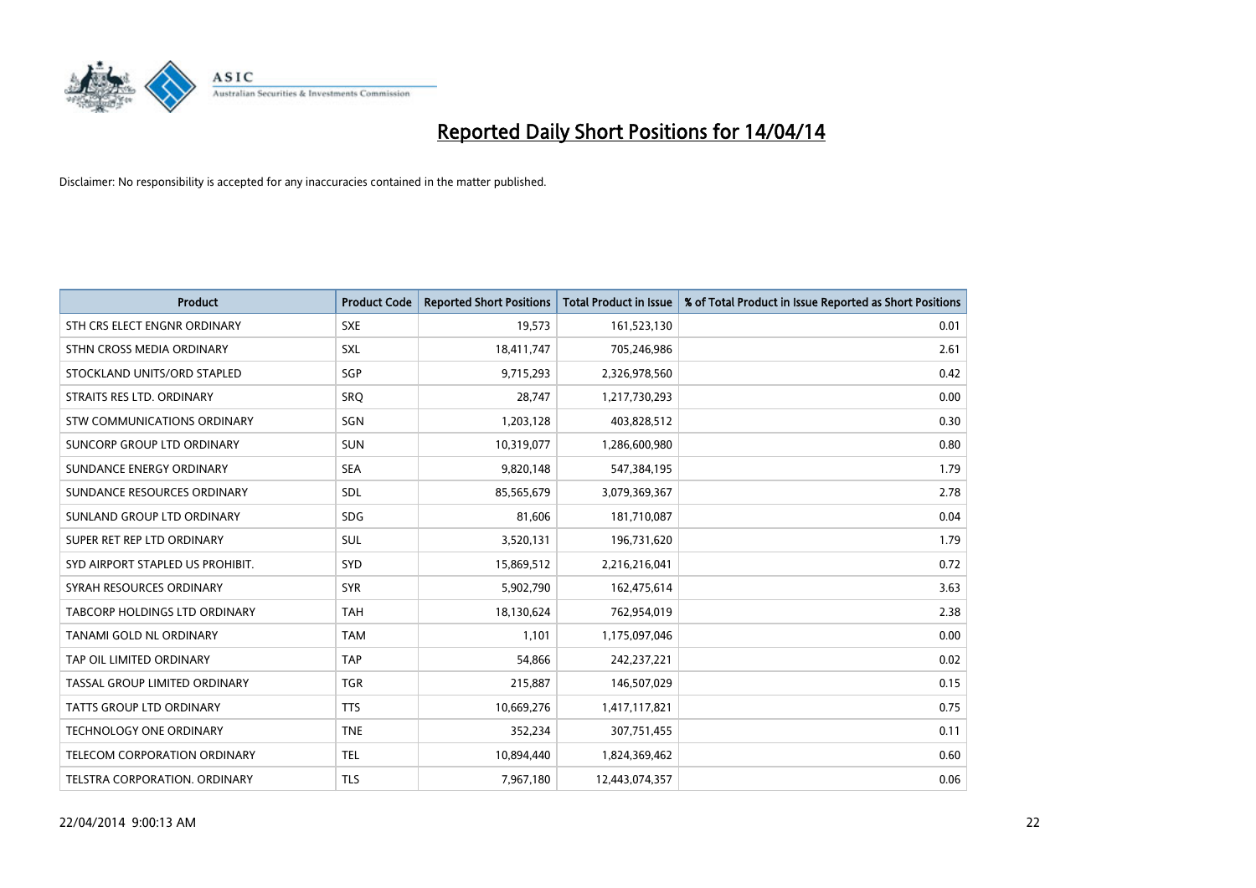

| <b>Product</b>                   | <b>Product Code</b> | <b>Reported Short Positions</b> | <b>Total Product in Issue</b> | % of Total Product in Issue Reported as Short Positions |
|----------------------------------|---------------------|---------------------------------|-------------------------------|---------------------------------------------------------|
| STH CRS ELECT ENGNR ORDINARY     | <b>SXE</b>          | 19,573                          | 161,523,130                   | 0.01                                                    |
| STHN CROSS MEDIA ORDINARY        | <b>SXL</b>          | 18,411,747                      | 705,246,986                   | 2.61                                                    |
| STOCKLAND UNITS/ORD STAPLED      | SGP                 | 9,715,293                       | 2,326,978,560                 | 0.42                                                    |
| STRAITS RES LTD. ORDINARY        | <b>SRQ</b>          | 28,747                          | 1,217,730,293                 | 0.00                                                    |
| STW COMMUNICATIONS ORDINARY      | SGN                 | 1,203,128                       | 403,828,512                   | 0.30                                                    |
| SUNCORP GROUP LTD ORDINARY       | <b>SUN</b>          | 10,319,077                      | 1,286,600,980                 | 0.80                                                    |
| SUNDANCE ENERGY ORDINARY         | <b>SEA</b>          | 9,820,148                       | 547,384,195                   | 1.79                                                    |
| SUNDANCE RESOURCES ORDINARY      | SDL                 | 85,565,679                      | 3,079,369,367                 | 2.78                                                    |
| SUNLAND GROUP LTD ORDINARY       | <b>SDG</b>          | 81,606                          | 181,710,087                   | 0.04                                                    |
| SUPER RET REP LTD ORDINARY       | <b>SUL</b>          | 3,520,131                       | 196,731,620                   | 1.79                                                    |
| SYD AIRPORT STAPLED US PROHIBIT. | <b>SYD</b>          | 15,869,512                      | 2,216,216,041                 | 0.72                                                    |
| SYRAH RESOURCES ORDINARY         | <b>SYR</b>          | 5,902,790                       | 162,475,614                   | 3.63                                                    |
| TABCORP HOLDINGS LTD ORDINARY    | <b>TAH</b>          | 18,130,624                      | 762,954,019                   | 2.38                                                    |
| TANAMI GOLD NL ORDINARY          | <b>TAM</b>          | 1,101                           | 1,175,097,046                 | 0.00                                                    |
| TAP OIL LIMITED ORDINARY         | <b>TAP</b>          | 54,866                          | 242,237,221                   | 0.02                                                    |
| TASSAL GROUP LIMITED ORDINARY    | <b>TGR</b>          | 215,887                         | 146,507,029                   | 0.15                                                    |
| TATTS GROUP LTD ORDINARY         | <b>TTS</b>          | 10,669,276                      | 1,417,117,821                 | 0.75                                                    |
| <b>TECHNOLOGY ONE ORDINARY</b>   | <b>TNE</b>          | 352,234                         | 307,751,455                   | 0.11                                                    |
| TELECOM CORPORATION ORDINARY     | <b>TEL</b>          | 10,894,440                      | 1,824,369,462                 | 0.60                                                    |
| TELSTRA CORPORATION, ORDINARY    | <b>TLS</b>          | 7,967,180                       | 12,443,074,357                | 0.06                                                    |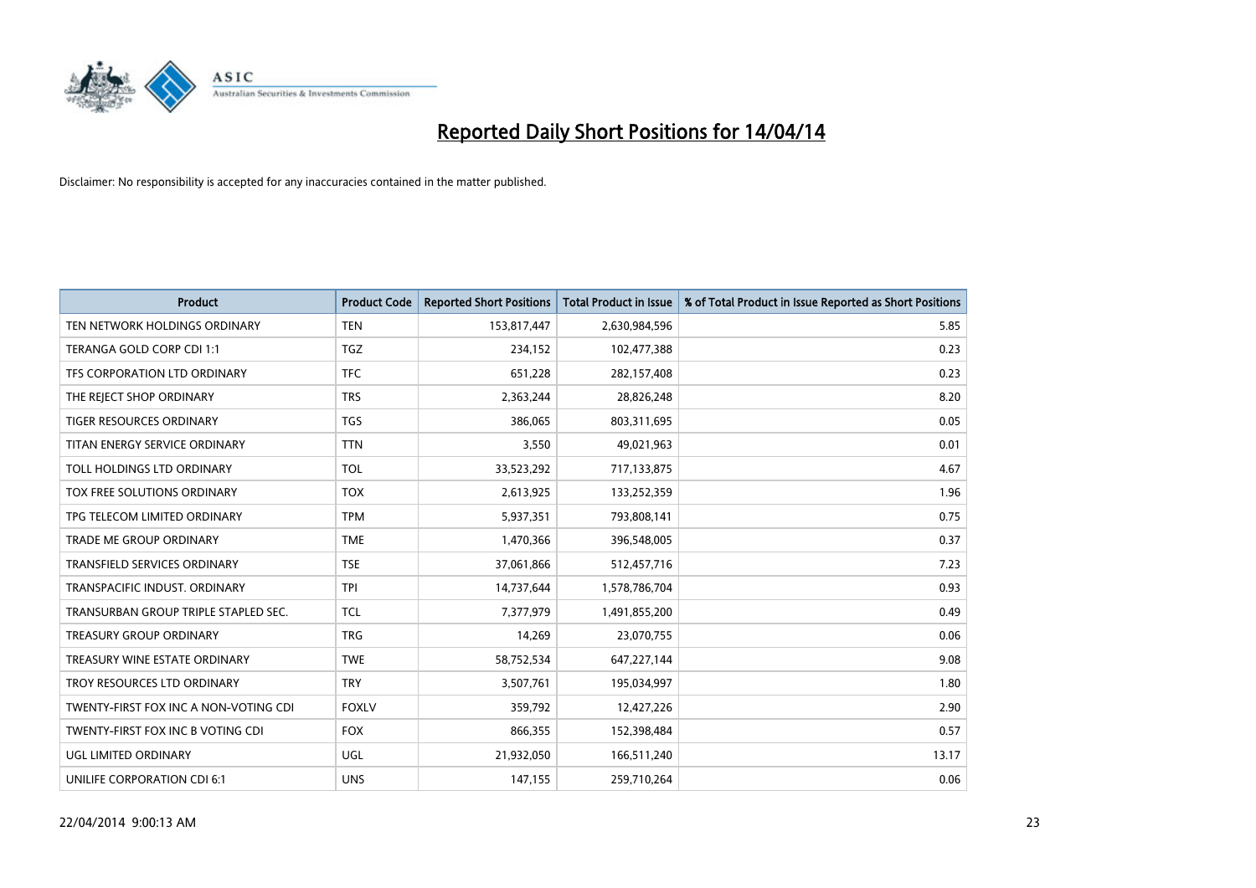

| <b>Product</b>                        | <b>Product Code</b> | <b>Reported Short Positions</b> | <b>Total Product in Issue</b> | % of Total Product in Issue Reported as Short Positions |
|---------------------------------------|---------------------|---------------------------------|-------------------------------|---------------------------------------------------------|
| TEN NETWORK HOLDINGS ORDINARY         | <b>TEN</b>          | 153,817,447                     | 2,630,984,596                 | 5.85                                                    |
| TERANGA GOLD CORP CDI 1:1             | TGZ                 | 234,152                         | 102,477,388                   | 0.23                                                    |
| TFS CORPORATION LTD ORDINARY          | <b>TFC</b>          | 651,228                         | 282,157,408                   | 0.23                                                    |
| THE REJECT SHOP ORDINARY              | <b>TRS</b>          | 2,363,244                       | 28,826,248                    | 8.20                                                    |
| <b>TIGER RESOURCES ORDINARY</b>       | <b>TGS</b>          | 386,065                         | 803,311,695                   | 0.05                                                    |
| TITAN ENERGY SERVICE ORDINARY         | <b>TTN</b>          | 3,550                           | 49,021,963                    | 0.01                                                    |
| TOLL HOLDINGS LTD ORDINARY            | <b>TOL</b>          | 33,523,292                      | 717,133,875                   | 4.67                                                    |
| TOX FREE SOLUTIONS ORDINARY           | <b>TOX</b>          | 2,613,925                       | 133,252,359                   | 1.96                                                    |
| TPG TELECOM LIMITED ORDINARY          | <b>TPM</b>          | 5,937,351                       | 793,808,141                   | 0.75                                                    |
| <b>TRADE ME GROUP ORDINARY</b>        | <b>TME</b>          | 1,470,366                       | 396,548,005                   | 0.37                                                    |
| TRANSFIELD SERVICES ORDINARY          | <b>TSE</b>          | 37,061,866                      | 512,457,716                   | 7.23                                                    |
| TRANSPACIFIC INDUST, ORDINARY         | <b>TPI</b>          | 14,737,644                      | 1,578,786,704                 | 0.93                                                    |
| TRANSURBAN GROUP TRIPLE STAPLED SEC.  | <b>TCL</b>          | 7,377,979                       | 1,491,855,200                 | 0.49                                                    |
| <b>TREASURY GROUP ORDINARY</b>        | <b>TRG</b>          | 14,269                          | 23,070,755                    | 0.06                                                    |
| TREASURY WINE ESTATE ORDINARY         | <b>TWE</b>          | 58,752,534                      | 647,227,144                   | 9.08                                                    |
| TROY RESOURCES LTD ORDINARY           | <b>TRY</b>          | 3,507,761                       | 195,034,997                   | 1.80                                                    |
| TWENTY-FIRST FOX INC A NON-VOTING CDI | <b>FOXLV</b>        | 359,792                         | 12,427,226                    | 2.90                                                    |
| TWENTY-FIRST FOX INC B VOTING CDI     | <b>FOX</b>          | 866,355                         | 152,398,484                   | 0.57                                                    |
| UGL LIMITED ORDINARY                  | UGL                 | 21,932,050                      | 166,511,240                   | 13.17                                                   |
| UNILIFE CORPORATION CDI 6:1           | <b>UNS</b>          | 147,155                         | 259,710,264                   | 0.06                                                    |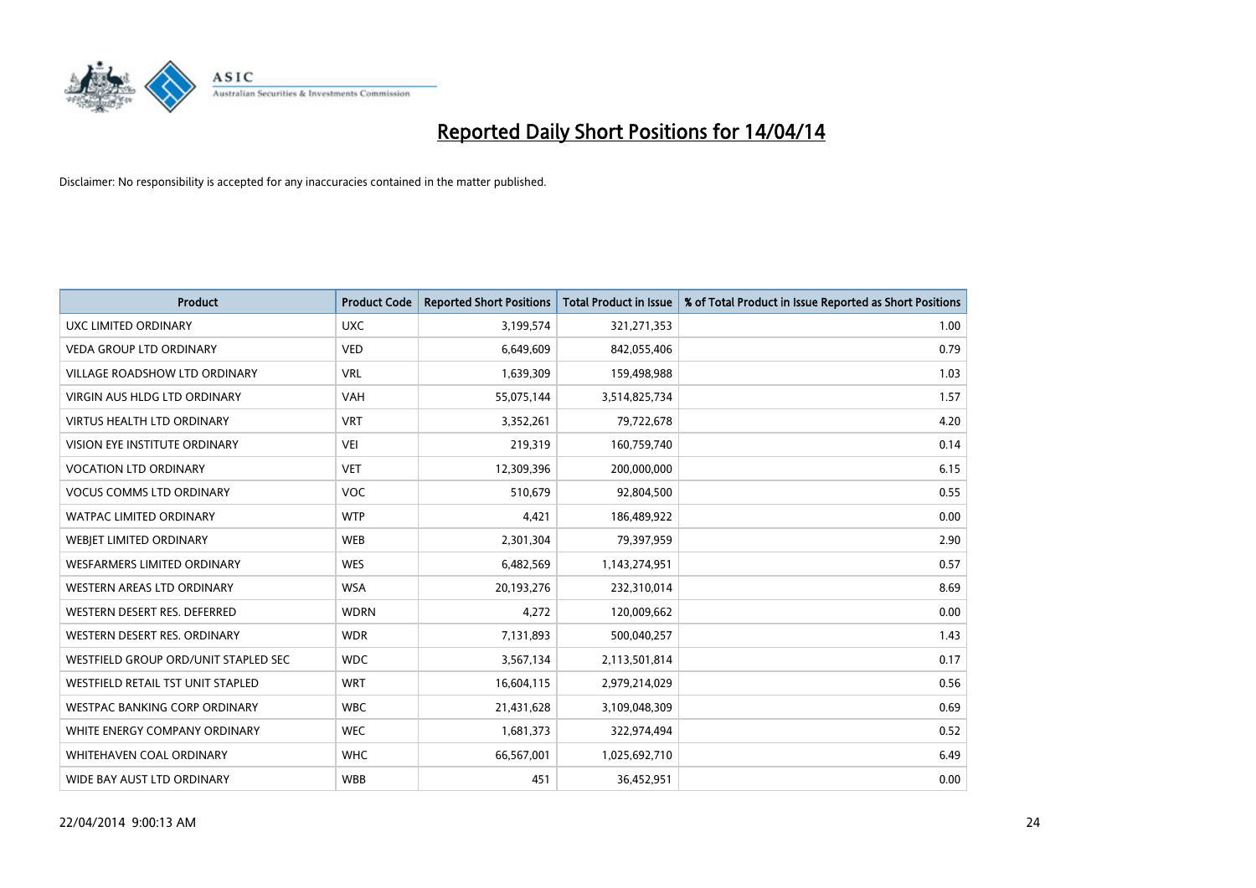

| <b>Product</b>                       | <b>Product Code</b> | <b>Reported Short Positions</b> | <b>Total Product in Issue</b> | % of Total Product in Issue Reported as Short Positions |
|--------------------------------------|---------------------|---------------------------------|-------------------------------|---------------------------------------------------------|
| <b>UXC LIMITED ORDINARY</b>          | <b>UXC</b>          | 3,199,574                       | 321,271,353                   | 1.00                                                    |
| <b>VEDA GROUP LTD ORDINARY</b>       | <b>VED</b>          | 6,649,609                       | 842,055,406                   | 0.79                                                    |
| <b>VILLAGE ROADSHOW LTD ORDINARY</b> | <b>VRL</b>          | 1,639,309                       | 159,498,988                   | 1.03                                                    |
| <b>VIRGIN AUS HLDG LTD ORDINARY</b>  | <b>VAH</b>          | 55,075,144                      | 3,514,825,734                 | 1.57                                                    |
| <b>VIRTUS HEALTH LTD ORDINARY</b>    | <b>VRT</b>          | 3,352,261                       | 79,722,678                    | 4.20                                                    |
| VISION EYE INSTITUTE ORDINARY        | <b>VEI</b>          | 219,319                         | 160,759,740                   | 0.14                                                    |
| <b>VOCATION LTD ORDINARY</b>         | <b>VET</b>          | 12,309,396                      | 200,000,000                   | 6.15                                                    |
| <b>VOCUS COMMS LTD ORDINARY</b>      | <b>VOC</b>          | 510,679                         | 92,804,500                    | 0.55                                                    |
| WATPAC LIMITED ORDINARY              | <b>WTP</b>          | 4,421                           | 186,489,922                   | 0.00                                                    |
| WEBJET LIMITED ORDINARY              | <b>WEB</b>          | 2,301,304                       | 79,397,959                    | 2.90                                                    |
| WESFARMERS LIMITED ORDINARY          | <b>WES</b>          | 6,482,569                       | 1,143,274,951                 | 0.57                                                    |
| <b>WESTERN AREAS LTD ORDINARY</b>    | <b>WSA</b>          | 20,193,276                      | 232,310,014                   | 8.69                                                    |
| WESTERN DESERT RES. DEFERRED         | <b>WDRN</b>         | 4,272                           | 120,009,662                   | 0.00                                                    |
| WESTERN DESERT RES. ORDINARY         | <b>WDR</b>          | 7,131,893                       | 500,040,257                   | 1.43                                                    |
| WESTFIELD GROUP ORD/UNIT STAPLED SEC | <b>WDC</b>          | 3,567,134                       | 2,113,501,814                 | 0.17                                                    |
| WESTFIELD RETAIL TST UNIT STAPLED    | <b>WRT</b>          | 16,604,115                      | 2,979,214,029                 | 0.56                                                    |
| <b>WESTPAC BANKING CORP ORDINARY</b> | <b>WBC</b>          | 21,431,628                      | 3,109,048,309                 | 0.69                                                    |
| WHITE ENERGY COMPANY ORDINARY        | <b>WEC</b>          | 1,681,373                       | 322,974,494                   | 0.52                                                    |
| WHITEHAVEN COAL ORDINARY             | <b>WHC</b>          | 66,567,001                      | 1,025,692,710                 | 6.49                                                    |
| WIDE BAY AUST LTD ORDINARY           | <b>WBB</b>          | 451                             | 36,452,951                    | 0.00                                                    |